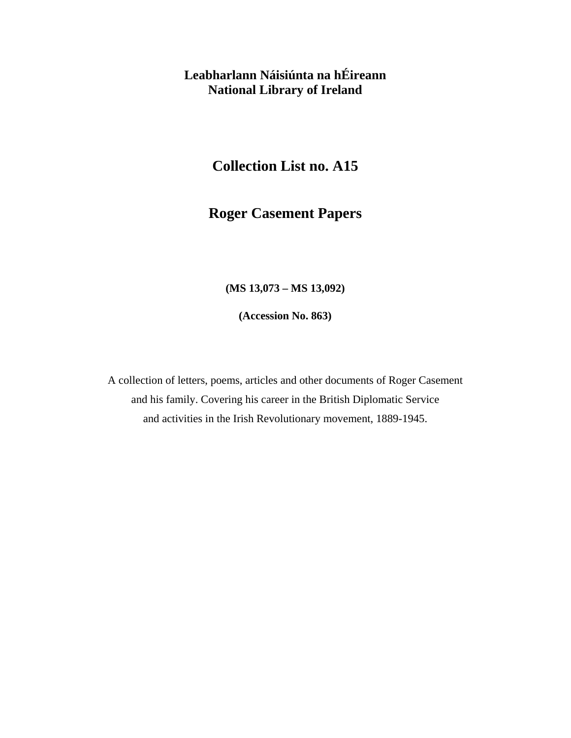# **Leabharlann Náisiúnta na hÉireann National Library of Ireland**

# **Collection List no. A15**

# **Roger Casement Papers**

#### **(MS 13,073 – MS 13,092)**

**(Accession No. 863)** 

A collection of letters, poems, articles and other documents of Roger Casement and his family. Covering his career in the British Diplomatic Service and activities in the Irish Revolutionary movement, 1889-1945.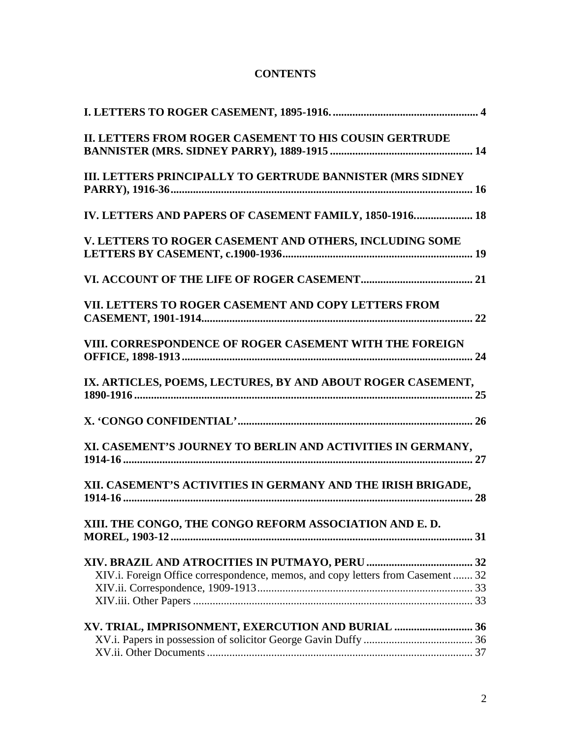### **CONTENTS**

| II. LETTERS FROM ROGER CASEMENT TO HIS COUSIN GERTRUDE                          |  |
|---------------------------------------------------------------------------------|--|
| III. LETTERS PRINCIPALLY TO GERTRUDE BANNISTER (MRS SIDNEY                      |  |
| IV. LETTERS AND PAPERS OF CASEMENT FAMILY, 1850-1916 18                         |  |
| V. LETTERS TO ROGER CASEMENT AND OTHERS, INCLUDING SOME                         |  |
|                                                                                 |  |
| VII. LETTERS TO ROGER CASEMENT AND COPY LETTERS FROM                            |  |
| VIII. CORRESPONDENCE OF ROGER CASEMENT WITH THE FOREIGN                         |  |
| IX. ARTICLES, POEMS, LECTURES, BY AND ABOUT ROGER CASEMENT,                     |  |
|                                                                                 |  |
| XI. CASEMENT'S JOURNEY TO BERLIN AND ACTIVITIES IN GERMANY,                     |  |
| XII. CASEMENT'S ACTIVITIES IN GERMANY AND THE IRISH BRIGADE,                    |  |
| XIII. THE CONGO, THE CONGO REFORM ASSOCIATION AND E.D.                          |  |
|                                                                                 |  |
| XIV.i. Foreign Office correspondence, memos, and copy letters from Casement  32 |  |
|                                                                                 |  |
|                                                                                 |  |
| XV. TRIAL, IMPRISONMENT, EXERCUTION AND BURIAL  36                              |  |
|                                                                                 |  |
|                                                                                 |  |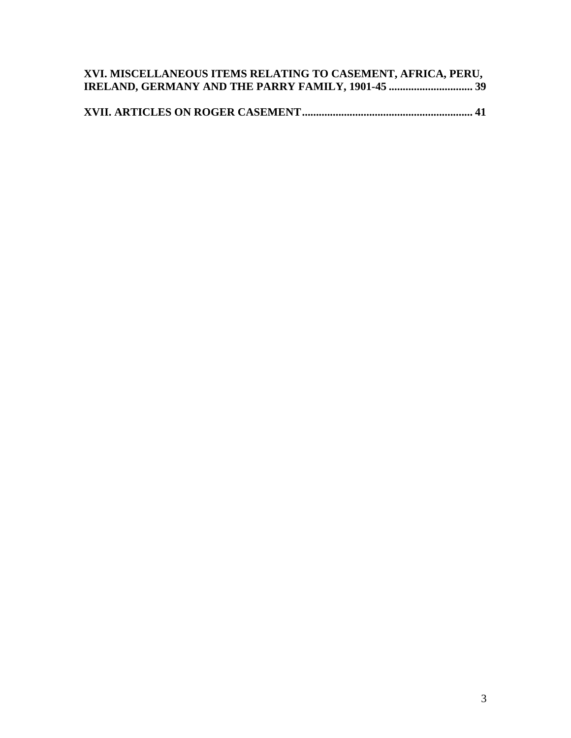| XVI. MISCELLANEOUS ITEMS RELATING TO CASEMENT, AFRICA, PERU, |  |
|--------------------------------------------------------------|--|
|                                                              |  |

|--|--|--|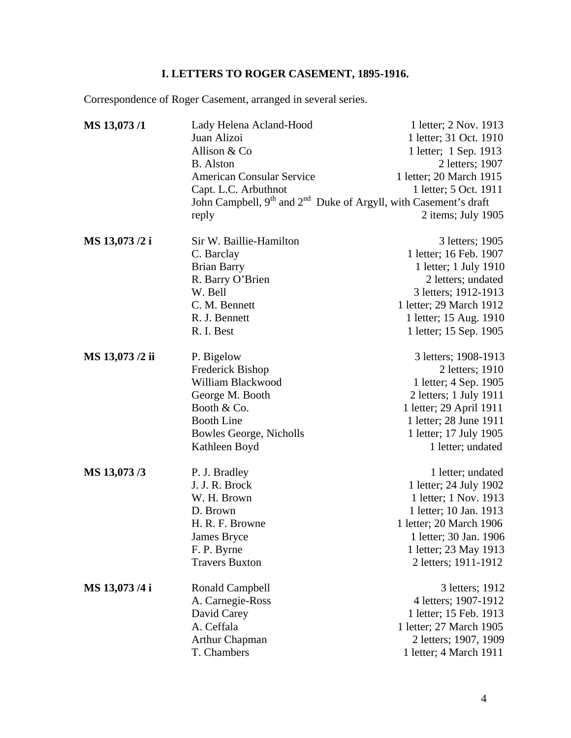# **I. LETTERS TO ROGER CASEMENT, 1895-1916.**

<span id="page-3-0"></span>Correspondence of Roger Casement, arranged in several series.

| MS 13,073/1     | Lady Helena Acland-Hood                                                                  | 1 letter; 2 Nov. 1913   |
|-----------------|------------------------------------------------------------------------------------------|-------------------------|
|                 | Juan Alizoi                                                                              | 1 letter; 31 Oct. 1910  |
|                 | Allison & Co                                                                             | 1 letter; 1 Sep. 1913   |
|                 | <b>B.</b> Alston                                                                         | 2 letters; 1907         |
|                 | <b>American Consular Service</b>                                                         | 1 letter; 20 March 1915 |
|                 | Capt. L.C. Arbuthnot                                                                     | 1 letter; 5 Oct. 1911   |
|                 | John Campbell, 9 <sup>th</sup> and 2 <sup>nd</sup> Duke of Argyll, with Casement's draft |                         |
|                 | reply                                                                                    | 2 items; July 1905      |
| MS 13,073 /2 i  | Sir W. Baillie-Hamilton                                                                  | 3 letters; 1905         |
|                 | C. Barclay                                                                               | 1 letter; 16 Feb. 1907  |
|                 | <b>Brian Barry</b>                                                                       | 1 letter; 1 July 1910   |
|                 | R. Barry O'Brien                                                                         | 2 letters; undated      |
|                 | W. Bell                                                                                  | 3 letters; 1912-1913    |
|                 | C. M. Bennett                                                                            | 1 letter; 29 March 1912 |
|                 | R. J. Bennett                                                                            | 1 letter; 15 Aug. 1910  |
|                 | R. I. Best                                                                               | 1 letter; 15 Sep. 1905  |
| MS 13,073 /2 ii | P. Bigelow                                                                               | 3 letters; 1908-1913    |
|                 | Frederick Bishop                                                                         | 2 letters; 1910         |
|                 | William Blackwood                                                                        | 1 letter; 4 Sep. 1905   |
|                 | George M. Booth                                                                          | 2 letters; 1 July 1911  |
|                 | Booth & Co.                                                                              | 1 letter; 29 April 1911 |
|                 | <b>Booth Line</b>                                                                        | 1 letter; 28 June 1911  |
|                 | <b>Bowles George, Nicholls</b>                                                           | 1 letter; 17 July 1905  |
|                 | Kathleen Boyd                                                                            | 1 letter; undated       |
| MS 13,073/3     | P. J. Bradley                                                                            | 1 letter; undated       |
|                 | J. J. R. Brock                                                                           | 1 letter; 24 July 1902  |
|                 | W. H. Brown                                                                              | 1 letter; 1 Nov. 1913   |
|                 | D. Brown                                                                                 | 1 letter; 10 Jan. 1913  |
|                 | H. R. F. Browne                                                                          | 1 letter; 20 March 1906 |
|                 | James Bryce                                                                              | 1 letter; 30 Jan. 1906  |
|                 | F. P. Byrne                                                                              | 1 letter; 23 May 1913   |
|                 | <b>Travers Buxton</b>                                                                    | 2 letters; 1911-1912    |
| MS 13,073/4 i   | <b>Ronald Campbell</b>                                                                   | 3 letters; 1912         |
|                 | A. Carnegie-Ross                                                                         | 4 letters; 1907-1912    |
|                 | David Carey                                                                              | 1 letter; 15 Feb. 1913  |
|                 | A. Ceffala                                                                               | 1 letter; 27 March 1905 |
|                 | <b>Arthur Chapman</b>                                                                    | 2 letters; 1907, 1909   |
|                 | T. Chambers                                                                              | 1 letter; 4 March 1911  |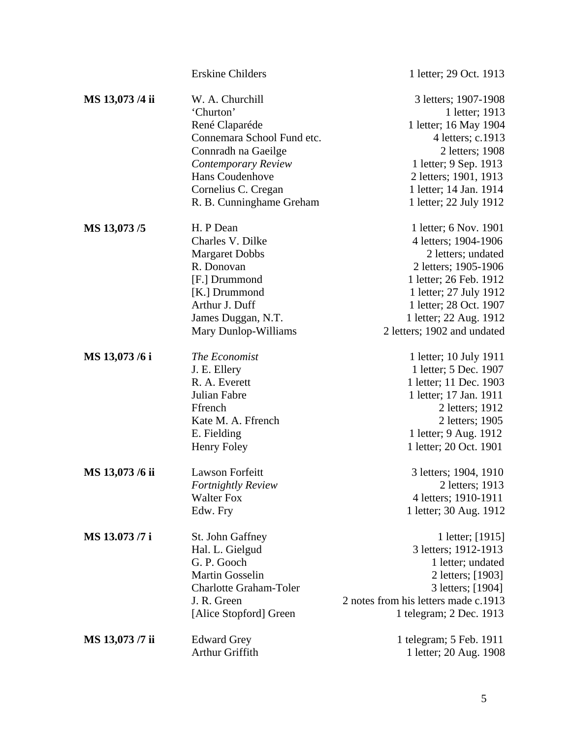|                 | <b>Erskine Childers</b>                                                                                                                                                                          | 1 letter; 29 Oct. 1913                                                                                                                                                                                                             |
|-----------------|--------------------------------------------------------------------------------------------------------------------------------------------------------------------------------------------------|------------------------------------------------------------------------------------------------------------------------------------------------------------------------------------------------------------------------------------|
| MS 13,073 /4 ii | W. A. Churchill<br>'Churton'<br>René Claparéde<br>Connemara School Fund etc.<br>Connradh na Gaeilge<br>Contemporary Review<br>Hans Coudenhove<br>Cornelius C. Cregan<br>R. B. Cunninghame Greham | 3 letters; 1907-1908<br>1 letter; 1913<br>1 letter; 16 May 1904<br>4 letters; c.1913<br>2 letters; 1908<br>1 letter; 9 Sep. 1913<br>2 letters; 1901, 1913<br>1 letter; 14 Jan. 1914<br>1 letter; 22 July 1912                      |
| MS 13,073/5     | H. P Dean<br>Charles V. Dilke<br><b>Margaret Dobbs</b><br>R. Donovan<br>[F.] Drummond<br>[K.] Drummond<br>Arthur J. Duff<br>James Duggan, N.T.<br>Mary Dunlop-Williams                           | 1 letter; 6 Nov. 1901<br>4 letters; 1904-1906<br>2 letters; undated<br>2 letters; 1905-1906<br>1 letter; 26 Feb. 1912<br>1 letter; 27 July 1912<br>1 letter; 28 Oct. 1907<br>1 letter; 22 Aug. 1912<br>2 letters; 1902 and undated |
| MS 13,073 /6 i  | The Economist<br>J. E. Ellery<br>R. A. Everett<br>Julian Fabre<br>Ffrench<br>Kate M. A. Ffrench<br>E. Fielding<br><b>Henry Foley</b>                                                             | 1 letter; 10 July 1911<br>1 letter; 5 Dec. 1907<br>1 letter; 11 Dec. 1903<br>1 letter; 17 Jan. 1911<br>2 letters; 1912<br>2 letters; 1905<br>1 letter; 9 Aug. 1912<br>1 letter; 20 Oct. 1901                                       |
| MS 13,073 /6 ii | <b>Lawson Forfeitt</b><br>Fortnightly Review<br><b>Walter Fox</b><br>Edw. Fry                                                                                                                    | 3 letters; 1904, 1910<br>2 letters; 1913<br>4 letters; 1910-1911<br>1 letter; 30 Aug. 1912                                                                                                                                         |
| MS 13.073 /7 i  | St. John Gaffney<br>Hal. L. Gielgud<br>G. P. Gooch<br><b>Martin Gosselin</b><br><b>Charlotte Graham-Toler</b><br>J. R. Green<br>[Alice Stopford] Green                                           | 1 letter; [1915]<br>3 letters; 1912-1913<br>1 letter; undated<br>2 letters; [1903]<br>3 letters; [1904]<br>2 notes from his letters made c.1913<br>1 telegram; 2 Dec. 1913                                                         |
| MS 13,073 /7 ii | <b>Edward Grey</b><br>Arthur Griffith                                                                                                                                                            | 1 telegram; 5 Feb. 1911<br>1 letter; 20 Aug. 1908                                                                                                                                                                                  |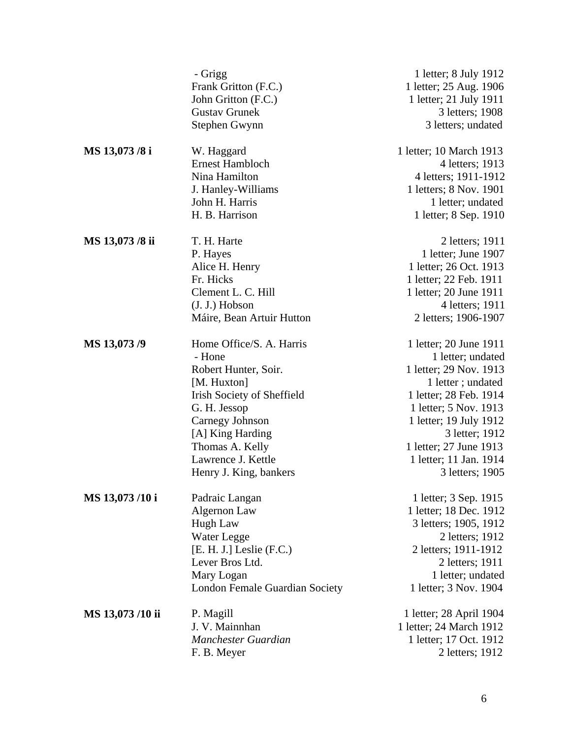|                  | - Grigg                           | 1 letter; 8 July 1912   |
|------------------|-----------------------------------|-------------------------|
|                  | Frank Gritton (F.C.)              | 1 letter; 25 Aug. 1906  |
|                  | John Gritton (F.C.)               | 1 letter; 21 July 1911  |
|                  | <b>Gustav Grunek</b>              | 3 letters; 1908         |
|                  | Stephen Gwynn                     | 3 letters; undated      |
| MS 13,073 /8 i   | W. Haggard                        | 1 letter; 10 March 1913 |
|                  | <b>Ernest Hambloch</b>            | 4 letters; 1913         |
|                  | Nina Hamilton                     | 4 letters; 1911-1912    |
|                  | J. Hanley-Williams                | 1 letters; 8 Nov. 1901  |
|                  | John H. Harris                    | 1 letter; undated       |
|                  | H. B. Harrison                    | 1 letter; 8 Sep. 1910   |
| MS 13,073/8 ii   | T. H. Harte                       | 2 letters; 1911         |
|                  | P. Hayes                          | 1 letter; June 1907     |
|                  | Alice H. Henry                    | 1 letter; 26 Oct. 1913  |
|                  | Fr. Hicks                         | 1 letter; 22 Feb. 1911  |
|                  | Clement L. C. Hill                | 1 letter; 20 June 1911  |
|                  | $(J. J.)$ Hobson                  | 4 letters; 1911         |
|                  | Máire, Bean Artuir Hutton         | 2 letters; 1906-1907    |
| MS 13,073/9      | Home Office/S. A. Harris          | 1 letter; 20 June 1911  |
|                  | - Hone                            | 1 letter; undated       |
|                  | Robert Hunter, Soir.              | 1 letter; 29 Nov. 1913  |
|                  | [M. Huxton]                       | 1 letter; undated       |
|                  | <b>Irish Society of Sheffield</b> | 1 letter; 28 Feb. 1914  |
|                  | G. H. Jessop                      | 1 letter; 5 Nov. 1913   |
|                  | Carnegy Johnson                   | 1 letter; 19 July 1912  |
|                  | [A] King Harding                  | 3 letter; 1912          |
|                  | Thomas A. Kelly                   | 1 letter; 27 June 1913  |
|                  | Lawrence J. Kettle                | 1 letter; 11 Jan. 1914  |
|                  | Henry J. King, bankers            | 3 letters; 1905         |
| MS 13,073/10 i   | Padraic Langan                    | 1 letter; 3 Sep. 1915   |
|                  | Algernon Law                      | 1 letter; 18 Dec. 1912  |
|                  | Hugh Law                          | 3 letters; 1905, 1912   |
|                  | Water Legge                       | 2 letters; 1912         |
|                  | $[E. H. J.]$ Leslie $(F.C.)$      | 2 letters; 1911-1912    |
|                  | Lever Bros Ltd.                   | 2 letters; 1911         |
|                  | Mary Logan                        | 1 letter; undated       |
|                  | London Female Guardian Society    | 1 letter; 3 Nov. 1904   |
| MS 13,073 /10 ii | P. Magill                         | 1 letter; 28 April 1904 |
|                  | J. V. Mainnhan                    | 1 letter; 24 March 1912 |
|                  | Manchester Guardian               | 1 letter; 17 Oct. 1912  |
|                  | F. B. Meyer                       | 2 letters; 1912         |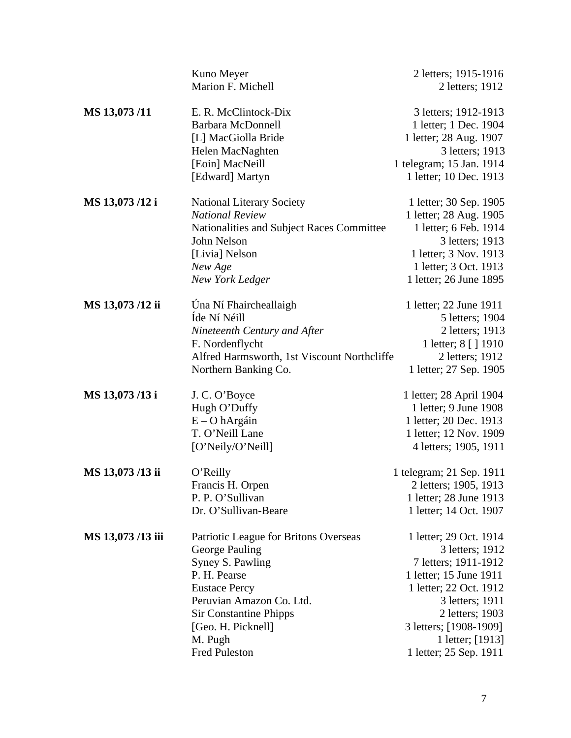|                  | Kuno Meyer                                  | 2 letters; 1915-1916     |
|------------------|---------------------------------------------|--------------------------|
|                  | Marion F. Michell                           | 2 letters; 1912          |
|                  |                                             |                          |
| MS 13,073/11     | E. R. McClintock-Dix                        | 3 letters; 1912-1913     |
|                  | <b>Barbara McDonnell</b>                    | 1 letter; 1 Dec. 1904    |
|                  | [L] MacGiolla Bride                         | 1 letter; 28 Aug. 1907   |
|                  | Helen MacNaghten                            | 3 letters; 1913          |
|                  | [Eoin] MacNeill                             | 1 telegram; 15 Jan. 1914 |
|                  | [Edward] Martyn                             | 1 letter; 10 Dec. 1913   |
| MS 13,073/12 i   | <b>National Literary Society</b>            | 1 letter; 30 Sep. 1905   |
|                  | <b>National Review</b>                      | 1 letter; 28 Aug. 1905   |
|                  | Nationalities and Subject Races Committee   | 1 letter; 6 Feb. 1914    |
|                  | John Nelson                                 | 3 letters; 1913          |
|                  | [Livia] Nelson                              | 1 letter; 3 Nov. 1913    |
|                  | New Age                                     | 1 letter; 3 Oct. 1913    |
|                  | New York Ledger                             | 1 letter; 26 June 1895   |
|                  |                                             |                          |
| MS 13,073/12 ii  | Úna Ní Fhaircheallaigh                      | 1 letter; 22 June 1911   |
|                  | Íde Ní Néill                                | 5 letters; 1904          |
|                  | Nineteenth Century and After                | 2 letters; 1913          |
|                  | F. Nordenflycht                             | 1 letter; 8 [ ] 1910     |
|                  | Alfred Harmsworth, 1st Viscount Northcliffe | 2 letters; 1912          |
|                  | Northern Banking Co.                        | 1 letter; 27 Sep. 1905   |
| MS 13,073/13 i   | J. C. O'Boyce                               | 1 letter; 28 April 1904  |
|                  | Hugh O'Duffy                                | 1 letter; 9 June 1908    |
|                  | $E - O$ hArgáin                             | 1 letter; 20 Dec. 1913   |
|                  | T. O'Neill Lane                             | 1 letter; 12 Nov. 1909   |
|                  | [O'Neily/O'Neill]                           | 4 letters; 1905, 1911    |
| MS 13,073/13 ii  | O'Reilly                                    | 1 telegram; 21 Sep. 1911 |
|                  | Francis H. Orpen                            | 2 letters; 1905, 1913    |
|                  | P. P. O'Sullivan                            | 1 letter; 28 June 1913   |
|                  | Dr. O'Sullivan-Beare                        |                          |
|                  |                                             | 1 letter; 14 Oct. 1907   |
| MS 13,073/13 iii | Patriotic League for Britons Overseas       | 1 letter; 29 Oct. 1914   |
|                  | George Pauling                              | 3 letters; 1912          |
|                  | Syney S. Pawling                            | 7 letters; 1911-1912     |
|                  | P. H. Pearse                                | 1 letter; 15 June 1911   |
|                  | <b>Eustace Percy</b>                        | 1 letter; 22 Oct. 1912   |
|                  | Peruvian Amazon Co. Ltd.                    | 3 letters; 1911          |
|                  | <b>Sir Constantine Phipps</b>               | 2 letters; 1903          |
|                  | [Geo. H. Picknell]                          | 3 letters; [1908-1909]   |
|                  | M. Pugh                                     | 1 letter; [1913]         |
|                  | <b>Fred Puleston</b>                        | 1 letter; 25 Sep. 1911   |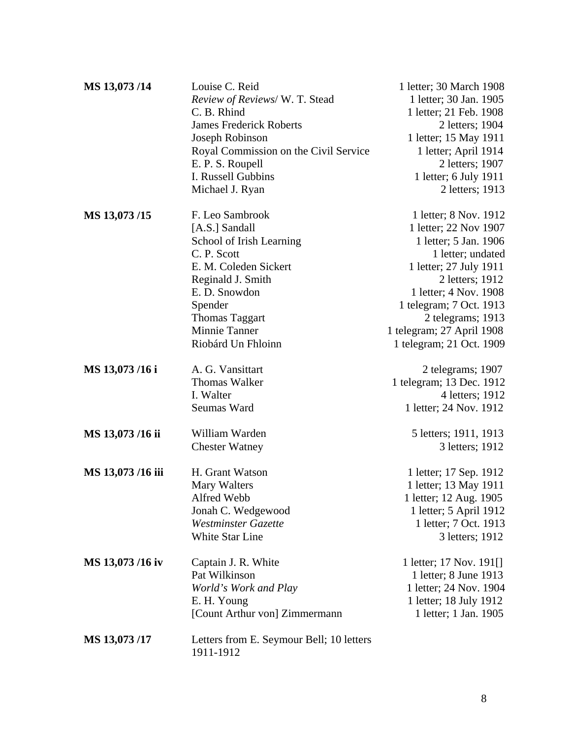| MS 13,073/14     | Louise C. Reid                           | 1 letter; 30 March 1908   |
|------------------|------------------------------------------|---------------------------|
|                  | Review of Reviews/ W. T. Stead           | 1 letter; 30 Jan. 1905    |
|                  | C. B. Rhind                              | 1 letter; 21 Feb. 1908    |
|                  | <b>James Frederick Roberts</b>           | 2 letters; 1904           |
|                  | Joseph Robinson                          | 1 letter; 15 May 1911     |
|                  | Royal Commission on the Civil Service    | 1 letter; April 1914      |
|                  | E. P. S. Roupell                         | 2 letters; 1907           |
|                  | I. Russell Gubbins                       | 1 letter; 6 July 1911     |
|                  | Michael J. Ryan                          | 2 letters; 1913           |
|                  |                                          |                           |
| MS 13,073/15     | F. Leo Sambrook                          | 1 letter; 8 Nov. 1912     |
|                  | [A.S.] Sandall                           | 1 letter; 22 Nov 1907     |
|                  | School of Irish Learning                 | 1 letter; 5 Jan. 1906     |
|                  | C. P. Scott                              | 1 letter; undated         |
|                  | E. M. Coleden Sickert                    | 1 letter; 27 July 1911    |
|                  | Reginald J. Smith                        | 2 letters; 1912           |
|                  | E. D. Snowdon                            | 1 letter; 4 Nov. 1908     |
|                  | Spender                                  | 1 telegram; 7 Oct. 1913   |
|                  | <b>Thomas Taggart</b>                    | 2 telegrams; 1913         |
|                  | Minnie Tanner                            | 1 telegram; 27 April 1908 |
|                  | Riobárd Un Fhloinn                       | 1 telegram; 21 Oct. 1909  |
|                  |                                          |                           |
| MS 13,073/16 i   | A. G. Vansittart                         | 2 telegrams; 1907         |
|                  | <b>Thomas Walker</b>                     | 1 telegram; 13 Dec. 1912  |
|                  | I. Walter                                | 4 letters; 1912           |
|                  | Seumas Ward                              | 1 letter; 24 Nov. 1912    |
| MS 13,073/16 ii  | William Warden                           | 5 letters; 1911, 1913     |
|                  | <b>Chester Watney</b>                    | 3 letters; 1912           |
|                  |                                          |                           |
| MS 13,073/16 iii | H. Grant Watson                          | 1 letter; 17 Sep. 1912    |
|                  | Mary Walters                             | 1 letter; 13 May 1911     |
|                  | Alfred Webb                              | 1 letter; 12 Aug. 1905    |
|                  | Jonah C. Wedgewood                       | 1 letter; 5 April 1912    |
|                  | <b>Westminster Gazette</b>               | 1 letter; 7 Oct. 1913     |
|                  | <b>White Star Line</b>                   | 3 letters; 1912           |
| MS 13,073/16 iv  | Captain J. R. White                      | 1 letter; 17 Nov. 191[]   |
|                  | Pat Wilkinson                            | 1 letter; 8 June 1913     |
|                  | World's Work and Play                    | 1 letter; 24 Nov. 1904    |
|                  | E. H. Young                              | 1 letter; 18 July 1912    |
|                  | [Count Arthur von] Zimmermann            | 1 letter; 1 Jan. 1905     |
|                  |                                          |                           |
| MS 13,073/17     | Letters from E. Seymour Bell; 10 letters |                           |
|                  | 1911-1912                                |                           |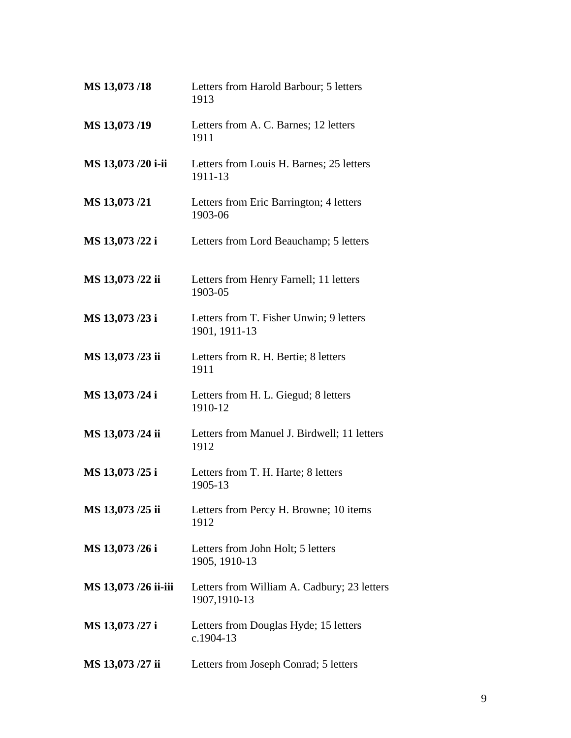| MS 13,073/18         | Letters from Harold Barbour; 5 letters<br>1913              |
|----------------------|-------------------------------------------------------------|
| MS 13,073/19         | Letters from A. C. Barnes; 12 letters<br>1911               |
| MS 13,073 /20 i-ii   | Letters from Louis H. Barnes; 25 letters<br>1911-13         |
| MS 13,073/21         | Letters from Eric Barrington; 4 letters<br>1903-06          |
| MS 13,073 /22 i      | Letters from Lord Beauchamp; 5 letters                      |
| MS 13,073 /22 ii     | Letters from Henry Farnell; 11 letters<br>1903-05           |
| MS 13,073 /23 i      | Letters from T. Fisher Unwin; 9 letters<br>1901, 1911-13    |
| MS 13,073 /23 ii     | Letters from R. H. Bertie; 8 letters<br>1911                |
| MS 13,073 /24 i      | Letters from H. L. Giegud; 8 letters<br>1910-12             |
| MS 13,073 /24 ii     | Letters from Manuel J. Birdwell; 11 letters<br>1912         |
| MS 13,073 /25 i      | Letters from T. H. Harte; 8 letters<br>1905-13              |
| MS 13,073 /25 ii     | Letters from Percy H. Browne; 10 items<br>1912              |
| MS 13,073 /26 i      | Letters from John Holt; 5 letters<br>1905, 1910-13          |
| MS 13,073 /26 ii-iii | Letters from William A. Cadbury; 23 letters<br>1907,1910-13 |
| MS 13,073 /27 i      | Letters from Douglas Hyde; 15 letters<br>c.1904-13          |
| MS 13,073 /27 ii     | Letters from Joseph Conrad; 5 letters                       |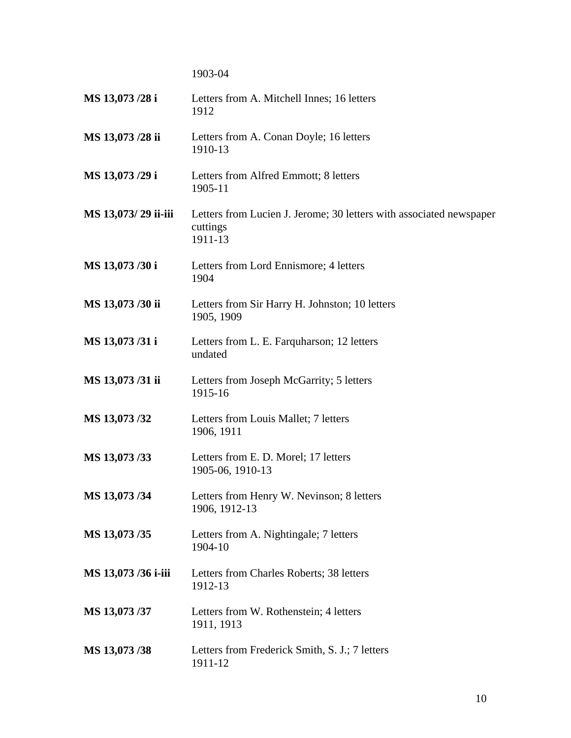1903-04

| MS 13,073 /28 i     | Letters from A. Mitchell Innes; 16 letters<br>1912                                         |
|---------------------|--------------------------------------------------------------------------------------------|
| MS 13,073 /28 ii    | Letters from A. Conan Doyle; 16 letters<br>1910-13                                         |
| MS 13,073 /29 i     | Letters from Alfred Emmott; 8 letters<br>1905-11                                           |
| MS 13,073/29 ii-iii | Letters from Lucien J. Jerome; 30 letters with associated newspaper<br>cuttings<br>1911-13 |
| MS 13,073 /30 i     | Letters from Lord Ennismore; 4 letters<br>1904                                             |
| MS 13,073 /30 ii    | Letters from Sir Harry H. Johnston; 10 letters<br>1905, 1909                               |
| MS 13,073/31 i      | Letters from L. E. Farquharson; 12 letters<br>undated                                      |
| MS 13,073/31 ii     | Letters from Joseph McGarrity; 5 letters<br>1915-16                                        |
| MS 13,073/32        | Letters from Louis Mallet; 7 letters<br>1906, 1911                                         |
| MS 13,073/33        | Letters from E. D. Morel; 17 letters<br>1905-06, 1910-13                                   |
| MS 13,073/34        | Letters from Henry W. Nevinson; 8 letters<br>1906, 1912-13                                 |
| MS 13,073 /35       | Letters from A. Nightingale; 7 letters<br>1904-10                                          |
| MS 13,073 /36 i-iii | Letters from Charles Roberts; 38 letters<br>1912-13                                        |
| MS 13,073 /37       | Letters from W. Rothenstein; 4 letters<br>1911, 1913                                       |
| MS 13,073/38        | Letters from Frederick Smith, S. J.; 7 letters<br>1911-12                                  |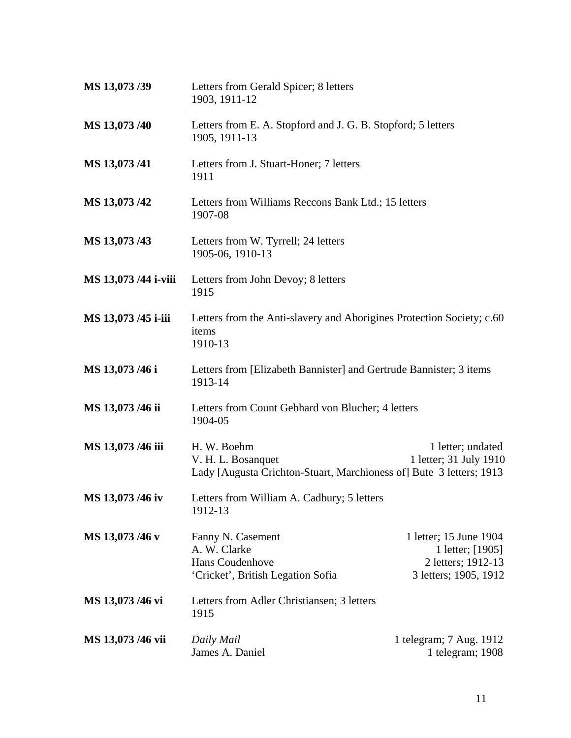| MS 13,073 /39        | Letters from Gerald Spicer; 8 letters<br>1903, 1911-12                                                   |                                                                                           |
|----------------------|----------------------------------------------------------------------------------------------------------|-------------------------------------------------------------------------------------------|
| MS 13,073 /40        | Letters from E. A. Stopford and J. G. B. Stopford; 5 letters<br>1905, 1911-13                            |                                                                                           |
| MS 13,073/41         | Letters from J. Stuart-Honer; 7 letters<br>1911                                                          |                                                                                           |
| MS 13,073 /42        | Letters from Williams Reccons Bank Ltd.; 15 letters<br>1907-08                                           |                                                                                           |
| MS 13,073 /43        | Letters from W. Tyrrell; 24 letters<br>1905-06, 1910-13                                                  |                                                                                           |
| MS 13,073 /44 i-viii | Letters from John Devoy; 8 letters<br>1915                                                               |                                                                                           |
| MS 13,073 /45 i-iii  | Letters from the Anti-slavery and Aborigines Protection Society; c.60<br>items<br>1910-13                |                                                                                           |
| MS 13,073 /46 i      | Letters from [Elizabeth Bannister] and Gertrude Bannister; 3 items<br>1913-14                            |                                                                                           |
| MS 13,073 /46 ii     | Letters from Count Gebhard von Blucher; 4 letters<br>1904-05                                             |                                                                                           |
| MS 13,073 /46 iii    | H. W. Boehm<br>V. H. L. Bosanquet<br>Lady [Augusta Crichton-Stuart, Marchioness of] Bute 3 letters; 1913 | 1 letter; undated<br>1 letter; 31 July 1910                                               |
| MS 13,073 /46 iv     | Letters from William A. Cadbury; 5 letters<br>1912-13                                                    |                                                                                           |
| MS 13,073 /46 v      | Fanny N. Casement<br>A. W. Clarke<br>Hans Coudenhove<br>'Cricket', British Legation Sofia                | 1 letter; 15 June 1904<br>1 letter; [1905]<br>2 letters; 1912-13<br>3 letters; 1905, 1912 |
| MS 13,073 /46 vi     | Letters from Adler Christiansen; 3 letters<br>1915                                                       |                                                                                           |
| MS 13,073 /46 vii    | Daily Mail<br>James A. Daniel                                                                            | 1 telegram; 7 Aug. 1912<br>1 telegram; 1908                                               |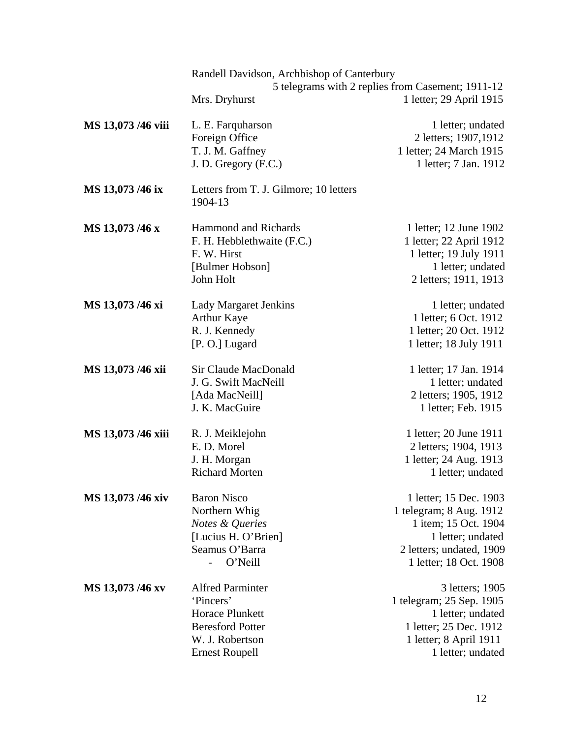|                    | Randell Davidson, Archbishop of Canterbury        |                                                   |
|--------------------|---------------------------------------------------|---------------------------------------------------|
|                    |                                                   | 5 telegrams with 2 replies from Casement; 1911-12 |
|                    | Mrs. Dryhurst                                     | 1 letter; 29 April 1915                           |
| MS 13,073 /46 viii | L. E. Farquharson                                 | 1 letter; undated                                 |
|                    | Foreign Office                                    | 2 letters; 1907, 1912                             |
|                    | T. J. M. Gaffney                                  | 1 letter; 24 March 1915                           |
|                    | J. D. Gregory (F.C.)                              | 1 letter; 7 Jan. 1912                             |
| MS 13,073 /46 ix   | Letters from T. J. Gilmore; 10 letters<br>1904-13 |                                                   |
| MS 13,073 /46 x    | <b>Hammond and Richards</b>                       | 1 letter; 12 June 1902                            |
|                    | F. H. Hebblethwaite (F.C.)                        | 1 letter; 22 April 1912                           |
|                    | F. W. Hirst                                       | 1 letter; 19 July 1911                            |
|                    | [Bulmer Hobson]                                   | 1 letter; undated                                 |
|                    | John Holt                                         | 2 letters; 1911, 1913                             |
| MS 13,073 /46 xi   | <b>Lady Margaret Jenkins</b>                      | 1 letter; undated                                 |
|                    | <b>Arthur Kaye</b>                                | 1 letter; 6 Oct. 1912                             |
|                    | R. J. Kennedy                                     | 1 letter; 20 Oct. 1912                            |
|                    | [P. O.] Lugard                                    | 1 letter; 18 July 1911                            |
| MS 13,073 /46 xii  | Sir Claude MacDonald                              | 1 letter; 17 Jan. 1914                            |
|                    | J. G. Swift MacNeill                              | 1 letter; undated                                 |
|                    | [Ada MacNeill]                                    | 2 letters; 1905, 1912                             |
|                    | J. K. MacGuire                                    | 1 letter; Feb. 1915                               |
| MS 13,073 /46 xiii | R. J. Meiklejohn                                  | 1 letter; 20 June 1911                            |
|                    | E. D. Morel                                       | 2 letters; 1904, 1913                             |
|                    | J. H. Morgan                                      | 1 letter; 24 Aug. 1913                            |
|                    | <b>Richard Morten</b>                             | 1 letter; undated                                 |
| MS 13,073 /46 xiv  | <b>Baron Nisco</b>                                | 1 letter; 15 Dec. 1903                            |
|                    | Northern Whig                                     | 1 telegram; 8 Aug. 1912                           |
|                    | Notes & Queries                                   | 1 item; 15 Oct. 1904                              |
|                    | [Lucius H. O'Brien]                               | 1 letter; undated                                 |
|                    | Seamus O'Barra                                    | 2 letters; undated, 1909                          |
|                    | O'Neill<br>$\overline{a}$                         | 1 letter; 18 Oct. 1908                            |
| MS 13,073 /46 xv   | <b>Alfred Parminter</b>                           | 3 letters; 1905                                   |
|                    | 'Pincers'                                         | 1 telegram; 25 Sep. 1905                          |
|                    | <b>Horace Plunkett</b>                            | 1 letter; undated                                 |
|                    | <b>Beresford Potter</b>                           | 1 letter; 25 Dec. 1912                            |
|                    | W. J. Robertson                                   | 1 letter; 8 April 1911                            |
|                    | <b>Ernest Roupell</b>                             | 1 letter; undated                                 |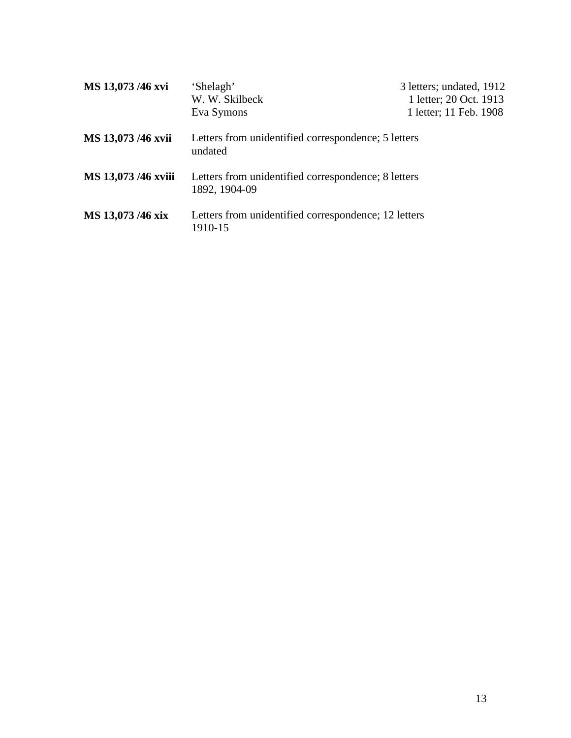| MS 13,073 /46 xvi   | 'Shelagh'<br>W. W. Skilbeck                                                  | 3 letters; undated, 1912<br>1 letter; 20 Oct. 1913 |
|---------------------|------------------------------------------------------------------------------|----------------------------------------------------|
| MS 13,073 /46 xvii  | Eva Symons<br>Letters from unidentified correspondence; 5 letters<br>undated | 1 letter; 11 Feb. 1908                             |
| MS 13,073 /46 xviii | Letters from unidentified correspondence; 8 letters<br>1892, 1904-09         |                                                    |
| MS 13,073 /46 xix   | Letters from unidentified correspondence; 12 letters<br>1910-15              |                                                    |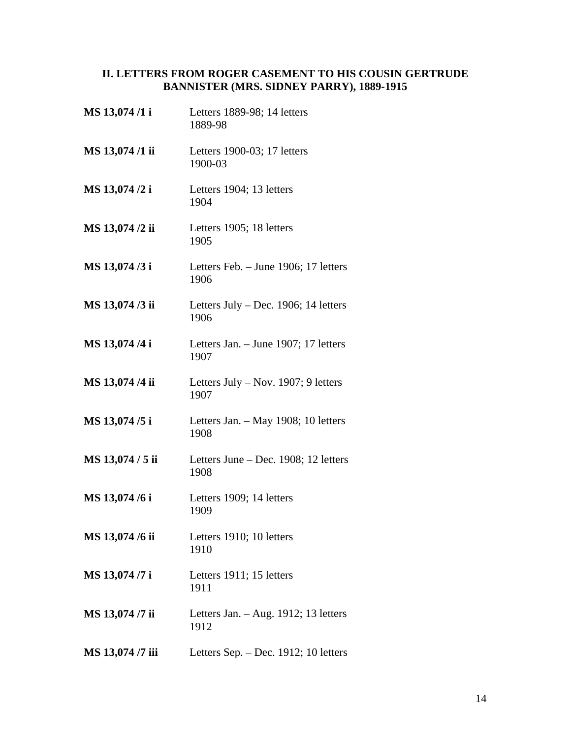#### <span id="page-13-0"></span>**II. LETTERS FROM ROGER CASEMENT TO HIS COUSIN GERTRUDE BANNISTER (MRS. SIDNEY PARRY), 1889-1915**

**MS 13,074 /1 i** Letters 1889-98; 14 letters 1889-98 **MS 13,074 /1 ii** Letters 1900-03; 17 letters 1900-03 **MS 13,074 /2 i** Letters 1904; 13 letters 1904 **MS 13,074 /2 ii** Letters 1905; 18 letters 1905 **MS 13,074 /3 i** Letters Feb. – June 1906; 17 letters 1906 **MS 13,074 /3 ii** Letters July – Dec. 1906; 14 letters 1906 **MS 13,074 /4 i** Letters Jan. – June 1907; 17 letters 1907 **MS 13,074 /4 ii** Letters July – Nov. 1907; 9 letters 1907 **MS 13,074 /5 i** Letters Jan. – May 1908; 10 letters 1908 **MS 13,074 / 5 ii** Letters June – Dec. 1908; 12 letters 1908 **MS 13,074 /6 i** Letters 1909; 14 letters 1909 **MS 13,074 /6 ii** Letters 1910; 10 letters 1910 **MS 13,074 /7 i** Letters 1911; 15 letters 1911 **MS 13,074 /7 ii** Letters Jan. – Aug. 1912; 13 letters 1912 **MS 13,074 /7 iii** Letters Sep. – Dec. 1912; 10 letters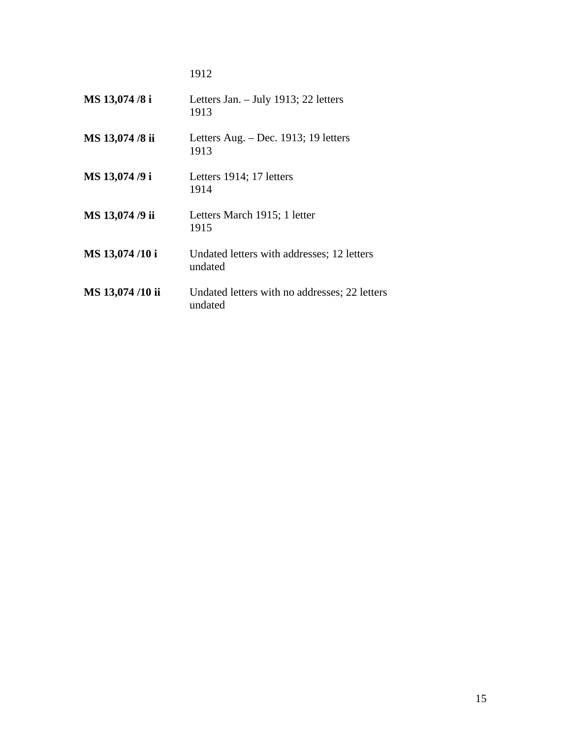1912

| MS 13,074 /8 i  | Letters Jan. - July 1913; 22 letters<br>1913             |
|-----------------|----------------------------------------------------------|
| MS 13,074 /8 ii | Letters Aug. $-$ Dec. 1913; 19 letters<br>1913           |
| MS 13,074 /9 i  | Letters 1914; 17 letters<br>1914                         |
| MS 13,074 /9 ii | Letters March 1915; 1 letter<br>1915                     |
| MS 13,074/10 i  | Undated letters with addresses; 12 letters<br>undated    |
| MS 13,074/10 ii | Undated letters with no addresses; 22 letters<br>undated |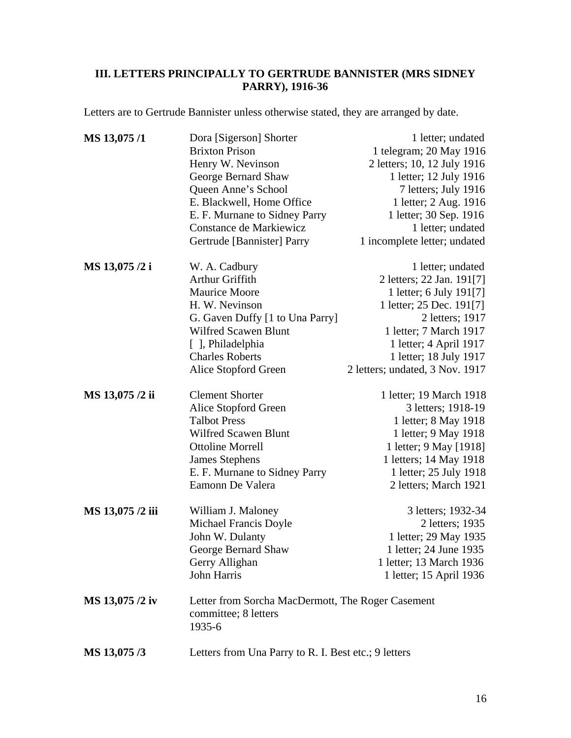### <span id="page-15-0"></span>**III. LETTERS PRINCIPALLY TO GERTRUDE BANNISTER (MRS SIDNEY PARRY), 1916-36**

Letters are to Gertrude Bannister unless otherwise stated, they are arranged by date.

| MS 13,075/1      | Dora [Sigerson] Shorter                              | 1 letter; undated               |
|------------------|------------------------------------------------------|---------------------------------|
|                  | <b>Brixton Prison</b>                                | 1 telegram; 20 May 1916         |
|                  | Henry W. Nevinson                                    | 2 letters; 10, 12 July 1916     |
|                  | George Bernard Shaw                                  | 1 letter; 12 July 1916          |
|                  | Queen Anne's School                                  | 7 letters; July 1916            |
|                  | E. Blackwell, Home Office                            | 1 letter; 2 Aug. 1916           |
|                  | E. F. Murnane to Sidney Parry                        | 1 letter; 30 Sep. 1916          |
|                  | Constance de Markiewicz                              | 1 letter; undated               |
|                  | Gertrude [Bannister] Parry                           | 1 incomplete letter; undated    |
| MS 13,075 /2 i   | W. A. Cadbury                                        | 1 letter; undated               |
|                  | Arthur Griffith                                      | 2 letters; 22 Jan. 191[7]       |
|                  | <b>Maurice Moore</b>                                 | 1 letter; 6 July 191[7]         |
|                  | H. W. Nevinson                                       | 1 letter; 25 Dec. 191[7]        |
|                  | G. Gaven Duffy [1 to Una Parry]                      | 2 letters; 1917                 |
|                  | <b>Wilfred Scawen Blunt</b>                          | 1 letter; 7 March 1917          |
|                  | [ ], Philadelphia                                    | 1 letter; 4 April 1917          |
|                  | <b>Charles Roberts</b>                               | 1 letter; 18 July 1917          |
|                  | Alice Stopford Green                                 | 2 letters; undated, 3 Nov. 1917 |
| MS 13,075 /2 ii  | <b>Clement Shorter</b>                               | 1 letter; 19 March 1918         |
|                  | Alice Stopford Green                                 | 3 letters; 1918-19              |
|                  | <b>Talbot Press</b>                                  | 1 letter; 8 May 1918            |
|                  | <b>Wilfred Scawen Blunt</b>                          | 1 letter; 9 May 1918            |
|                  | <b>Ottoline Morrell</b>                              | 1 letter; 9 May [1918]          |
|                  | <b>James Stephens</b>                                | 1 letters; 14 May 1918          |
|                  | E. F. Murnane to Sidney Parry                        | 1 letter; 25 July 1918          |
|                  | Eamonn De Valera                                     | 2 letters; March 1921           |
| MS 13,075 /2 iii | William J. Maloney                                   | 3 letters; 1932-34              |
|                  | Michael Francis Doyle                                | 2 letters; 1935                 |
|                  | John W. Dulanty                                      | 1 letter; 29 May 1935           |
|                  | George Bernard Shaw                                  | 1 letter; 24 June 1935          |
|                  | Gerry Allighan                                       | 1 letter; 13 March 1936         |
|                  | John Harris                                          | 1 letter; 15 April 1936         |
| MS 13,075 /2 iv  | Letter from Sorcha MacDermott, The Roger Casement    |                                 |
|                  | committee; 8 letters                                 |                                 |
|                  | 1935-6                                               |                                 |
| MS 13,075/3      | Letters from Una Parry to R. I. Best etc.; 9 letters |                                 |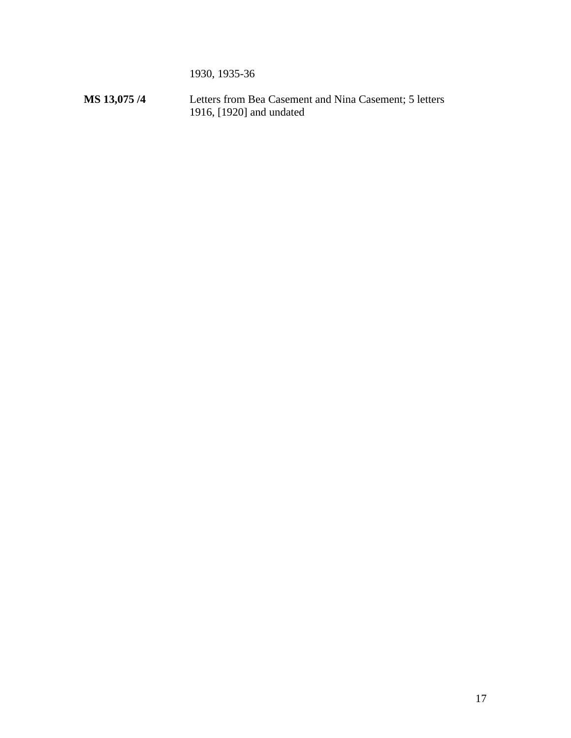1930, 1935-36

**MS 13,075 /4** Letters from Bea Casement and Nina Casement; 5 letters 1916, [1920] and undated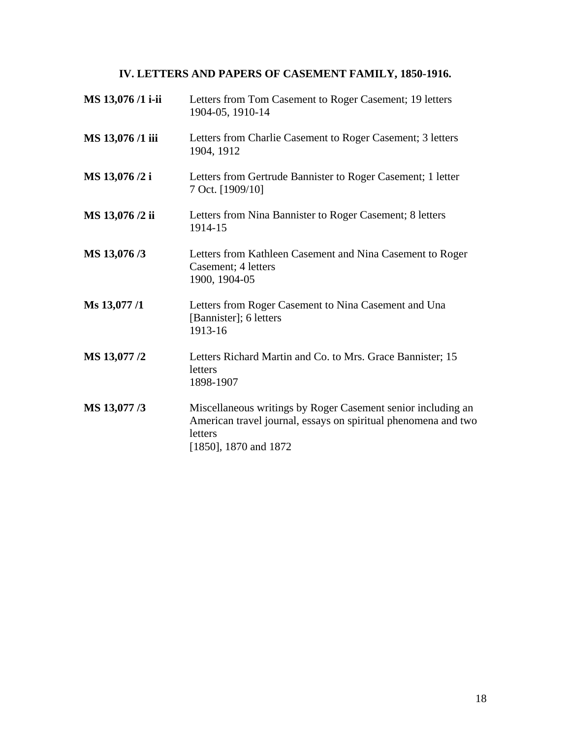## **IV. LETTERS AND PAPERS OF CASEMENT FAMILY, 1850-1916.**

<span id="page-17-0"></span>

| MS 13,076 /1 i-ii | Letters from Tom Casement to Roger Casement; 19 letters<br>1904-05, 1910-14                                                                                        |
|-------------------|--------------------------------------------------------------------------------------------------------------------------------------------------------------------|
| MS 13,076 /1 iii  | Letters from Charlie Casement to Roger Casement; 3 letters<br>1904, 1912                                                                                           |
| MS 13,076 /2 i    | Letters from Gertrude Bannister to Roger Casement; 1 letter<br>7 Oct. [1909/10]                                                                                    |
| MS 13,076 /2 ii   | Letters from Nina Bannister to Roger Casement; 8 letters<br>1914-15                                                                                                |
| MS 13,076/3       | Letters from Kathleen Casement and Nina Casement to Roger<br>Casement; 4 letters<br>1900, 1904-05                                                                  |
| Ms 13,077 /1      | Letters from Roger Casement to Nina Casement and Una<br>[Bannister]; 6 letters<br>1913-16                                                                          |
| MS 13,077 /2      | Letters Richard Martin and Co. to Mrs. Grace Bannister; 15<br>letters<br>1898-1907                                                                                 |
| MS 13,077/3       | Miscellaneous writings by Roger Casement senior including an<br>American travel journal, essays on spiritual phenomena and two<br>letters<br>[1850], 1870 and 1872 |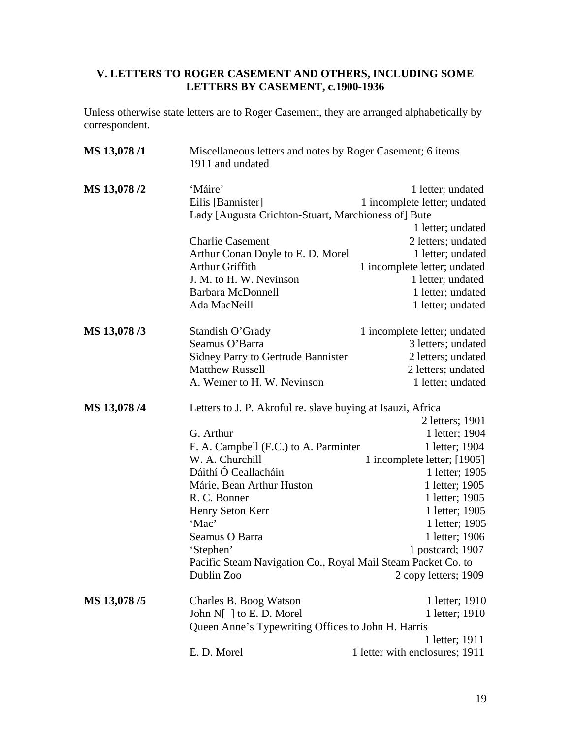#### <span id="page-18-0"></span>**V. LETTERS TO ROGER CASEMENT AND OTHERS, INCLUDING SOME LETTERS BY CASEMENT, c.1900-1936**

Unless otherwise state letters are to Roger Casement, they are arranged alphabetically by correspondent.

| MS 13,078/1  | Miscellaneous letters and notes by Roger Casement; 6 items<br>1911 and undated      |                                                   |
|--------------|-------------------------------------------------------------------------------------|---------------------------------------------------|
| MS 13,078 /2 | 'Máire'<br>Eilis [Bannister]<br>Lady [Augusta Crichton-Stuart, Marchioness of] Bute | 1 letter; undated<br>1 incomplete letter; undated |
|              |                                                                                     | 1 letter; undated                                 |
|              | <b>Charlie Casement</b>                                                             | 2 letters; undated                                |
|              | Arthur Conan Doyle to E. D. Morel                                                   | 1 letter; undated                                 |
|              | Arthur Griffith                                                                     | 1 incomplete letter; undated                      |
|              | J. M. to H. W. Nevinson                                                             | 1 letter; undated                                 |
|              | <b>Barbara McDonnell</b>                                                            | 1 letter; undated                                 |
|              | Ada MacNeill                                                                        | 1 letter; undated                                 |
| MS 13,078/3  | Standish O'Grady                                                                    | 1 incomplete letter; undated                      |
|              | Seamus O'Barra                                                                      | 3 letters; undated                                |
|              | <b>Sidney Parry to Gertrude Bannister</b>                                           | 2 letters; undated                                |
|              | <b>Matthew Russell</b>                                                              | 2 letters; undated                                |
|              | A. Werner to H. W. Nevinson                                                         | 1 letter; undated                                 |
| MS 13,078/4  | Letters to J. P. Akroful re. slave buying at Isauzi, Africa                         |                                                   |
|              |                                                                                     | 2 letters; 1901                                   |
|              | G. Arthur                                                                           | 1 letter; 1904                                    |
|              | F. A. Campbell (F.C.) to A. Parminter                                               | 1 letter; 1904                                    |
|              | W. A. Churchill                                                                     | 1 incomplete letter; [1905]                       |
|              | Dáithí Ó Ceallacháin                                                                | 1 letter; 1905                                    |
|              | Márie, Bean Arthur Huston                                                           | 1 letter; 1905                                    |
|              | R. C. Bonner                                                                        | 1 letter; 1905                                    |
|              | Henry Seton Kerr                                                                    | 1 letter; 1905                                    |
|              | 'Mac'                                                                               | 1 letter; 1905                                    |
|              | Seamus O Barra                                                                      | 1 letter; 1906                                    |
|              | 'Stephen'                                                                           | 1 postcard; 1907                                  |
|              | Pacific Steam Navigation Co., Royal Mail Steam Packet Co. to                        |                                                   |
|              | Dublin Zoo                                                                          | 2 copy letters; 1909                              |
| MS 13,078/5  | Charles B. Boog Watson                                                              | 1 letter; 1910                                    |
|              | John N[ ] to E. D. Morel                                                            | 1 letter; 1910                                    |
|              | Queen Anne's Typewriting Offices to John H. Harris                                  |                                                   |
|              |                                                                                     | 1 letter; 1911                                    |
|              | E. D. Morel                                                                         | 1 letter with enclosures; 1911                    |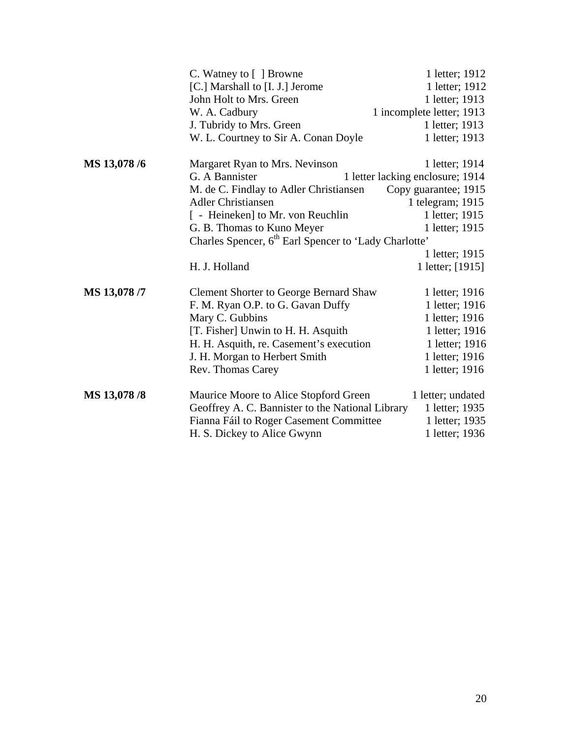|              | C. Watney to [ ] Browne                                           | 1 letter; 1912                   |
|--------------|-------------------------------------------------------------------|----------------------------------|
|              | [C.] Marshall to [I. J.] Jerome                                   | 1 letter; 1912                   |
|              | John Holt to Mrs. Green                                           | 1 letter; 1913                   |
|              | W. A. Cadbury                                                     | 1 incomplete letter; 1913        |
|              | J. Tubridy to Mrs. Green                                          | 1 letter; 1913                   |
|              | W. L. Courtney to Sir A. Conan Doyle                              | 1 letter; 1913                   |
| MS 13,078 /6 | Margaret Ryan to Mrs. Nevinson                                    | 1 letter; 1914                   |
|              | G. A Bannister                                                    | 1 letter lacking enclosure; 1914 |
|              | M. de C. Findlay to Adler Christiansen                            | Copy guarantee; 1915             |
|              | <b>Adler Christiansen</b>                                         | 1 telegram; 1915                 |
|              | [ - Heineken] to Mr. von Reuchlin                                 | 1 letter; 1915                   |
|              | G. B. Thomas to Kuno Meyer                                        | 1 letter; 1915                   |
|              | Charles Spencer, 6 <sup>th</sup> Earl Spencer to 'Lady Charlotte' |                                  |
|              |                                                                   | 1 letter; 1915                   |
|              | H. J. Holland                                                     | 1 letter; [1915]                 |
| MS 13,078 /7 | <b>Clement Shorter to George Bernard Shaw</b>                     | 1 letter; 1916                   |
|              | F. M. Ryan O.P. to G. Gavan Duffy                                 | 1 letter; 1916                   |
|              | Mary C. Gubbins                                                   | 1 letter; 1916                   |
|              | [T. Fisher] Unwin to H. H. Asquith                                | 1 letter; 1916                   |
|              | H. H. Asquith, re. Casement's execution                           | 1 letter; 1916                   |
|              | J. H. Morgan to Herbert Smith                                     | 1 letter; 1916                   |
|              | Rev. Thomas Carey                                                 | 1 letter; 1916                   |
| MS 13,078 /8 | Maurice Moore to Alice Stopford Green                             | 1 letter; undated                |
|              | Geoffrey A. C. Bannister to the National Library                  | 1 letter; 1935                   |
|              | Fianna Fáil to Roger Casement Committee                           | 1 letter; 1935                   |
|              | H. S. Dickey to Alice Gwynn                                       | 1 letter; 1936                   |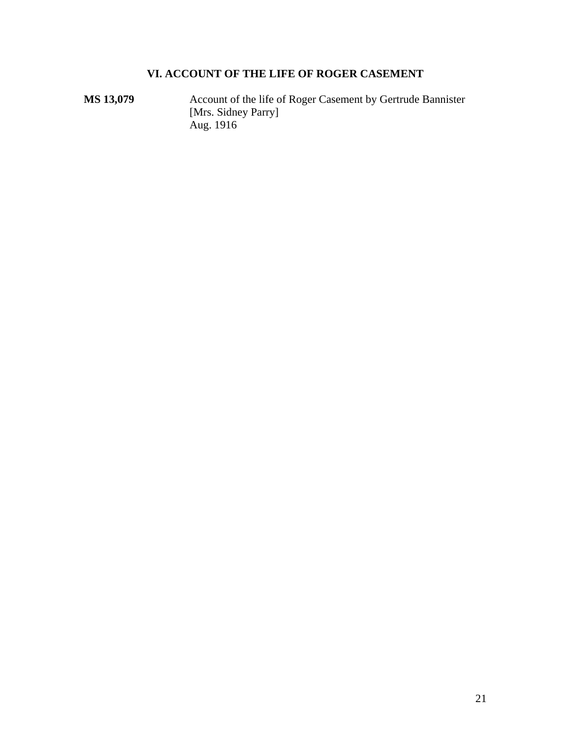## **VI. ACCOUNT OF THE LIFE OF ROGER CASEMENT**

<span id="page-20-0"></span>**MS 13,079** ••• Account of the life of Roger Casement by Gertrude Bannister [Mrs. Sidney Parry] Aug. 1916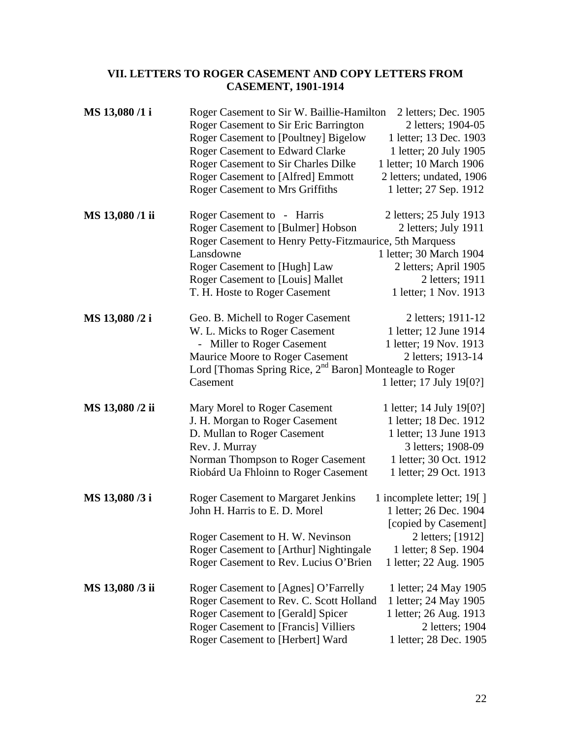#### <span id="page-21-0"></span>**VII. LETTERS TO ROGER CASEMENT AND COPY LETTERS FROM CASEMENT, 1901-1914**

| MS 13,080 /1 i  | Roger Casement to Sir W. Baillie-Hamilton<br>Roger Casement to Sir Eric Barrington<br><b>Roger Casement to [Poultney] Bigelow</b><br><b>Roger Casement to Edward Clarke</b><br>Roger Casement to Sir Charles Dilke<br><b>Roger Casement to [Alfred] Emmott</b><br><b>Roger Casement to Mrs Griffiths</b> | 2 letters; Dec. 1905<br>2 letters; 1904-05<br>1 letter; 13 Dec. 1903<br>1 letter; 20 July 1905<br>1 letter; 10 March 1906<br>2 letters; undated, 1906<br>1 letter; 27 Sep. 1912 |
|-----------------|----------------------------------------------------------------------------------------------------------------------------------------------------------------------------------------------------------------------------------------------------------------------------------------------------------|---------------------------------------------------------------------------------------------------------------------------------------------------------------------------------|
| MS 13,080 /1 ii | Roger Casement to - Harris<br>Roger Casement to [Bulmer] Hobson<br>Roger Casement to Henry Petty-Fitzmaurice, 5th Marquess<br>Lansdowne<br>Roger Casement to [Hugh] Law<br>Roger Casement to [Louis] Mallet<br>T. H. Hoste to Roger Casement                                                             | 2 letters; 25 July 1913<br>2 letters; July 1911<br>1 letter; 30 March 1904<br>2 letters; April 1905<br>2 letters; 1911<br>1 letter; 1 Nov. 1913                                 |
| MS 13,080 /2 i  | Geo. B. Michell to Roger Casement<br>W. L. Micks to Roger Casement<br>- Miller to Roger Casement<br><b>Maurice Moore to Roger Casement</b><br>Lord [Thomas Spring Rice, 2 <sup>nd</sup> Baron] Monteagle to Roger<br>Casement                                                                            | 2 letters; 1911-12<br>1 letter; 12 June 1914<br>1 letter; 19 Nov. 1913<br>2 letters; 1913-14<br>1 letter; 17 July 19[0?]                                                        |
| MS 13,080 /2 ii | Mary Morel to Roger Casement<br>J. H. Morgan to Roger Casement<br>D. Mullan to Roger Casement<br>Rev. J. Murray<br>Norman Thompson to Roger Casement<br>Riobárd Ua Fhloinn to Roger Casement                                                                                                             | 1 letter; 14 July 19[0?]<br>1 letter; 18 Dec. 1912<br>1 letter; 13 June 1913<br>3 letters; 1908-09<br>1 letter; 30 Oct. 1912<br>1 letter; 29 Oct. 1913                          |
| MS 13,080 /3 i  | <b>Roger Casement to Margaret Jenkins</b><br>John H. Harris to E. D. Morel<br>Roger Casement to H. W. Nevinson<br>Roger Casement to [Arthur] Nightingale<br>Roger Casement to Rev. Lucius O'Brien                                                                                                        | 1 incomplete letter; 19[]<br>1 letter; 26 Dec. 1904<br>[copied by Casement]<br>2 letters; [1912]<br>1 letter; 8 Sep. 1904<br>1 letter; 22 Aug. 1905                             |
| MS 13,080 /3 ii | Roger Casement to [Agnes] O'Farrelly<br>Roger Casement to Rev. C. Scott Holland<br><b>Roger Casement to [Gerald] Spicer</b><br><b>Roger Casement to [Francis] Villiers</b><br>Roger Casement to [Herbert] Ward                                                                                           | 1 letter; 24 May 1905<br>1 letter; 24 May 1905<br>1 letter; 26 Aug. 1913<br>2 letters; 1904<br>1 letter; 28 Dec. 1905                                                           |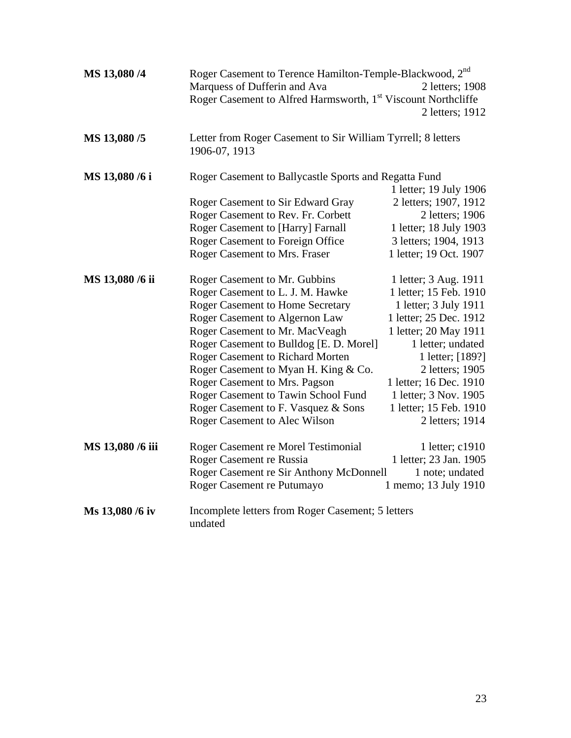| MS 13,080 /4     | Roger Casement to Terence Hamilton-Temple-Blackwood, 2nd<br>Marquess of Dufferin and Ava<br>Roger Casement to Alfred Harmsworth, 1 <sup>st</sup> Viscount Northcliffe                                                                                                                                                                                                                                                                                                                                  | 2 letters; 1908<br>2 letters; 1912                                                                                                                                                                                                                                                                                |
|------------------|--------------------------------------------------------------------------------------------------------------------------------------------------------------------------------------------------------------------------------------------------------------------------------------------------------------------------------------------------------------------------------------------------------------------------------------------------------------------------------------------------------|-------------------------------------------------------------------------------------------------------------------------------------------------------------------------------------------------------------------------------------------------------------------------------------------------------------------|
| MS 13,080 /5     | Letter from Roger Casement to Sir William Tyrrell; 8 letters<br>1906-07, 1913                                                                                                                                                                                                                                                                                                                                                                                                                          |                                                                                                                                                                                                                                                                                                                   |
| MS 13,080 /6 i   | Roger Casement to Ballycastle Sports and Regatta Fund<br>Roger Casement to Sir Edward Gray<br>Roger Casement to Rev. Fr. Corbett<br>Roger Casement to [Harry] Farnall<br>Roger Casement to Foreign Office                                                                                                                                                                                                                                                                                              | 1 letter; 19 July 1906<br>2 letters; 1907, 1912<br>2 letters; 1906<br>1 letter; 18 July 1903<br>3 letters; 1904, 1913                                                                                                                                                                                             |
| MS 13,080 /6 ii  | Roger Casement to Mrs. Fraser<br>Roger Casement to Mr. Gubbins<br>Roger Casement to L. J. M. Hawke<br><b>Roger Casement to Home Secretary</b><br>Roger Casement to Algernon Law<br>Roger Casement to Mr. MacVeagh<br>Roger Casement to Bulldog [E. D. Morel]<br><b>Roger Casement to Richard Morten</b><br>Roger Casement to Myan H. King & Co.<br>Roger Casement to Mrs. Pagson<br>Roger Casement to Tawin School Fund<br>Roger Casement to F. Vasquez & Sons<br><b>Roger Casement to Alec Wilson</b> | 1 letter; 19 Oct. 1907<br>1 letter; 3 Aug. 1911<br>1 letter; 15 Feb. 1910<br>1 letter; 3 July 1911<br>1 letter; 25 Dec. 1912<br>1 letter; 20 May 1911<br>1 letter; undated<br>1 letter; [189?]<br>2 letters; 1905<br>1 letter; 16 Dec. 1910<br>1 letter; 3 Nov. 1905<br>1 letter; 15 Feb. 1910<br>2 letters; 1914 |
| MS 13,080 /6 iii | Roger Casement re Morel Testimonial<br>Roger Casement re Russia<br>Roger Casement re Sir Anthony McDonnell<br>Roger Casement re Putumayo                                                                                                                                                                                                                                                                                                                                                               | 1 letter; c1910<br>1 letter; 23 Jan. 1905<br>1 note; undated<br>1 memo; 13 July 1910                                                                                                                                                                                                                              |
| Ms 13,080 /6 iv  | Incomplete letters from Roger Casement; 5 letters<br>undated                                                                                                                                                                                                                                                                                                                                                                                                                                           |                                                                                                                                                                                                                                                                                                                   |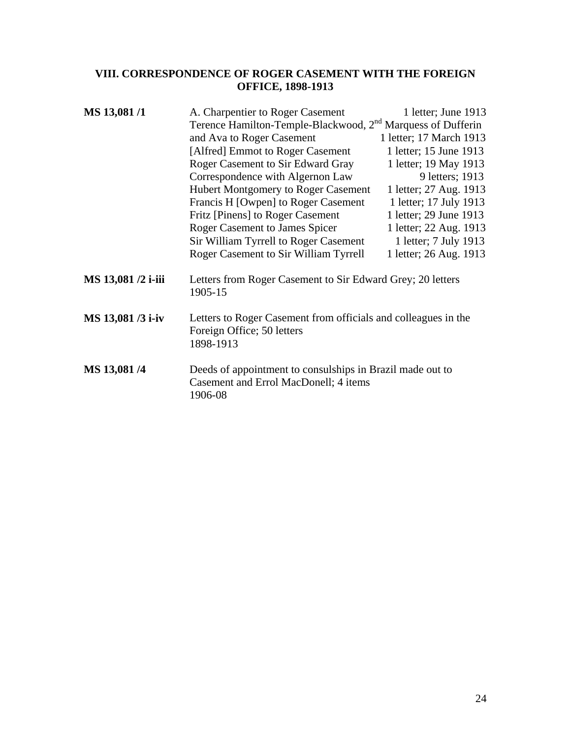#### <span id="page-23-0"></span>**VIII. CORRESPONDENCE OF ROGER CASEMENT WITH THE FOREIGN OFFICE, 1898-1913**

| MS 13,081/1        | A. Charpentier to Roger Casement                                                                              | 1 letter; June 1913     |
|--------------------|---------------------------------------------------------------------------------------------------------------|-------------------------|
|                    | Terence Hamilton-Temple-Blackwood, 2 <sup>nd</sup> Marquess of Dufferin                                       |                         |
|                    | and Ava to Roger Casement                                                                                     | 1 letter; 17 March 1913 |
|                    | [Alfred] Emmot to Roger Casement                                                                              | 1 letter; 15 June 1913  |
|                    | <b>Roger Casement to Sir Edward Gray</b>                                                                      | 1 letter; 19 May 1913   |
|                    | Correspondence with Algernon Law                                                                              | 9 letters; 1913         |
|                    | <b>Hubert Montgomery to Roger Casement</b>                                                                    | 1 letter; 27 Aug. 1913  |
|                    | Francis H [Owpen] to Roger Casement                                                                           | 1 letter; 17 July 1913  |
|                    | Fritz [Pinens] to Roger Casement                                                                              | 1 letter; 29 June 1913  |
|                    | <b>Roger Casement to James Spicer</b>                                                                         | 1 letter; 22 Aug. 1913  |
|                    | Sir William Tyrrell to Roger Casement                                                                         | 1 letter; 7 July 1913   |
|                    | Roger Casement to Sir William Tyrrell                                                                         | 1 letter; 26 Aug. 1913  |
| MS 13,081 /2 i-iii | Letters from Roger Casement to Sir Edward Grey; 20 letters<br>1905-15                                         |                         |
| MS 13,081 /3 i-iv  | Letters to Roger Casement from officials and colleagues in the<br>Foreign Office; 50 letters<br>1898-1913     |                         |
| MS 13,081/4        | Deeds of appointment to consulships in Brazil made out to<br>Casement and Errol MacDonell; 4 items<br>1906-08 |                         |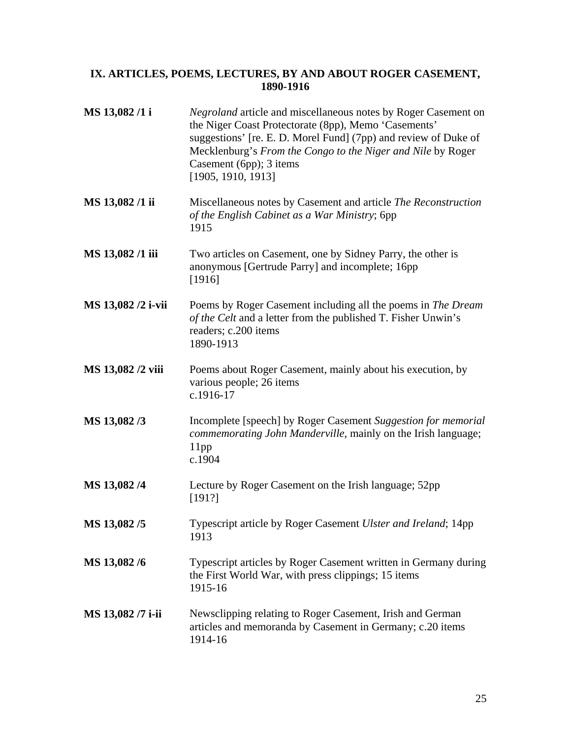### <span id="page-24-0"></span>**IX. ARTICLES, POEMS, LECTURES, BY AND ABOUT ROGER CASEMENT, 1890-1916**

| MS 13,082/1 i      | <i>Negroland</i> article and miscellaneous notes by Roger Casement on<br>the Niger Coast Protectorate (8pp), Memo 'Casements'<br>suggestions' [re. E. D. Morel Fund] (7pp) and review of Duke of<br>Mecklenburg's From the Congo to the Niger and Nile by Roger<br>Casement (6pp); 3 items<br>[1905, 1910, 1913] |
|--------------------|------------------------------------------------------------------------------------------------------------------------------------------------------------------------------------------------------------------------------------------------------------------------------------------------------------------|
| MS 13,082/1 ii     | Miscellaneous notes by Casement and article The Reconstruction<br>of the English Cabinet as a War Ministry; 6pp<br>1915                                                                                                                                                                                          |
| MS 13,082 /1 iii   | Two articles on Casement, one by Sidney Parry, the other is<br>anonymous [Gertrude Parry] and incomplete; 16pp<br>[1916]                                                                                                                                                                                         |
| MS 13,082 /2 i-vii | Poems by Roger Casement including all the poems in The Dream<br>of the Celt and a letter from the published T. Fisher Unwin's<br>readers; c.200 items<br>1890-1913                                                                                                                                               |
| MS 13,082 /2 viii  | Poems about Roger Casement, mainly about his execution, by<br>various people; 26 items<br>c.1916-17                                                                                                                                                                                                              |
| MS 13,082/3        | Incomplete [speech] by Roger Casement Suggestion for memorial<br>commemorating John Manderville, mainly on the Irish language;<br>$11$ pp<br>c.1904                                                                                                                                                              |
| MS 13,082/4        | Lecture by Roger Casement on the Irish language; 52pp<br>[191?]                                                                                                                                                                                                                                                  |
| MS 13,082/5        | Typescript article by Roger Casement Ulster and Ireland; 14pp<br>1913                                                                                                                                                                                                                                            |
| MS 13,082/6        | Typescript articles by Roger Casement written in Germany during<br>the First World War, with press clippings; 15 items<br>1915-16                                                                                                                                                                                |
| MS 13,082 /7 i-ii  | Newsclipping relating to Roger Casement, Irish and German<br>articles and memoranda by Casement in Germany; c.20 items<br>1914-16                                                                                                                                                                                |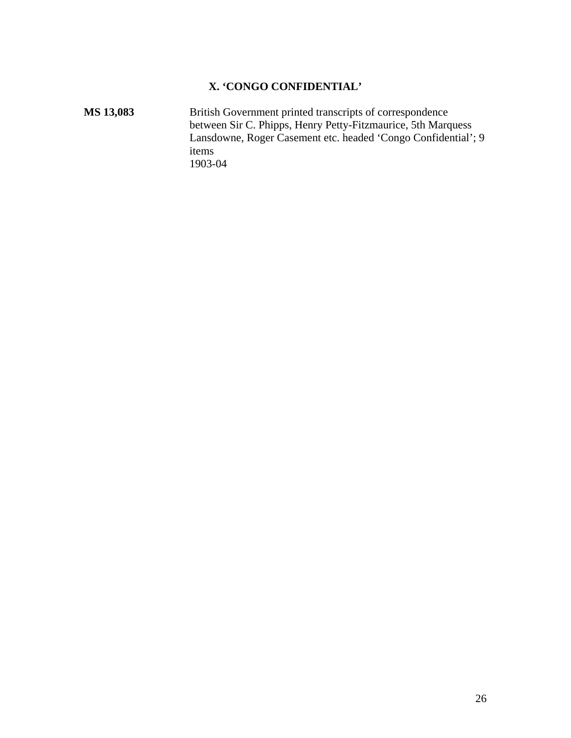### **X. 'CONGO CONFIDENTIAL'**

<span id="page-25-0"></span>MS 13,083 **British Government printed transcripts of correspondence** between Sir C. Phipps, Henry Petty-Fitzmaurice, 5th Marquess Lansdowne, Roger Casement etc. headed 'Congo Confidential'; 9 items 1903-04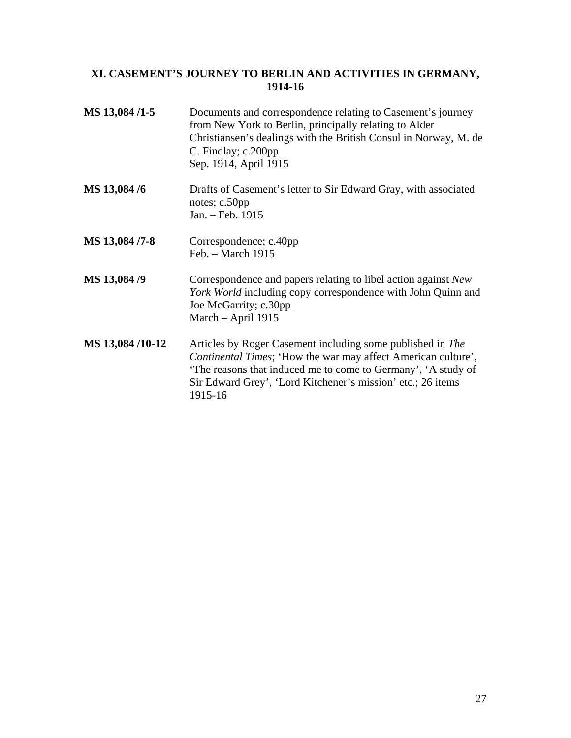### <span id="page-26-0"></span>**XI. CASEMENT'S JOURNEY TO BERLIN AND ACTIVITIES IN GERMANY, 1914-16**

| MS 13,084/1-5   | Documents and correspondence relating to Casement's journey<br>from New York to Berlin, principally relating to Alder<br>Christiansen's dealings with the British Consul in Norway, M. de<br>C. Findlay; c.200pp<br>Sep. 1914, April 1915                             |
|-----------------|-----------------------------------------------------------------------------------------------------------------------------------------------------------------------------------------------------------------------------------------------------------------------|
| MS 13,084 /6    | Drafts of Casement's letter to Sir Edward Gray, with associated<br>notes; c.50pp<br>Jan. - Feb. 1915                                                                                                                                                                  |
| MS 13,084 /7-8  | Correspondence; c.40pp<br>Feb. $-$ March 1915                                                                                                                                                                                                                         |
| MS 13,084 /9    | Correspondence and papers relating to libel action against New<br>York World including copy correspondence with John Quinn and<br>Joe McGarrity; c.30pp<br>March – April 1915                                                                                         |
| MS 13,084/10-12 | Articles by Roger Casement including some published in The<br>Continental Times; 'How the war may affect American culture',<br>The reasons that induced me to come to Germany', 'A study of<br>Sir Edward Grey', 'Lord Kitchener's mission' etc.; 26 items<br>1915-16 |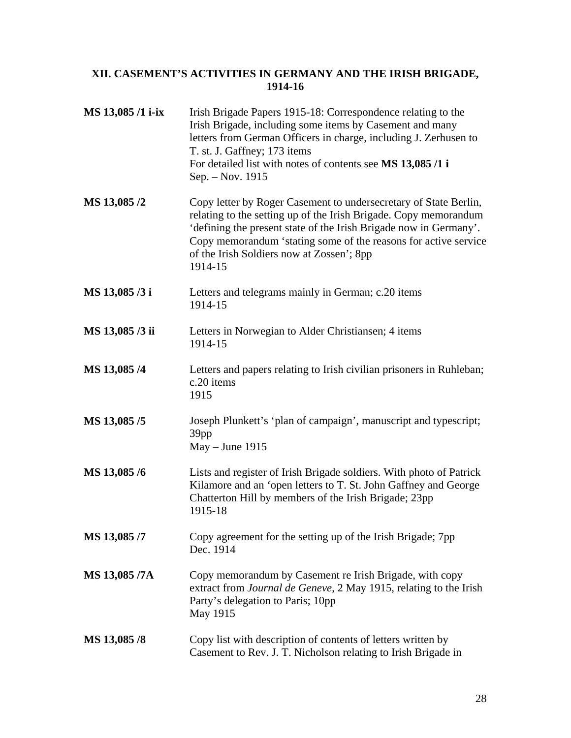### <span id="page-27-0"></span>**XII. CASEMENT'S ACTIVITIES IN GERMANY AND THE IRISH BRIGADE, 1914-16**

| MS 13,085 /1 i-ix | Irish Brigade Papers 1915-18: Correspondence relating to the<br>Irish Brigade, including some items by Casement and many<br>letters from German Officers in charge, including J. Zerhusen to<br>T. st. J. Gaffney; 173 items<br>For detailed list with notes of contents see MS 13,085 /1 i<br>Sep. – Nov. 1915                      |
|-------------------|--------------------------------------------------------------------------------------------------------------------------------------------------------------------------------------------------------------------------------------------------------------------------------------------------------------------------------------|
| MS 13,085/2       | Copy letter by Roger Casement to undersecretary of State Berlin,<br>relating to the setting up of the Irish Brigade. Copy memorandum<br>'defining the present state of the Irish Brigade now in Germany'.<br>Copy memorandum 'stating some of the reasons for active service<br>of the Irish Soldiers now at Zossen'; 8pp<br>1914-15 |
| MS 13,085 /3 i    | Letters and telegrams mainly in German; c.20 items<br>1914-15                                                                                                                                                                                                                                                                        |
| MS 13,085 /3 ii   | Letters in Norwegian to Alder Christiansen; 4 items<br>1914-15                                                                                                                                                                                                                                                                       |
| MS 13,085/4       | Letters and papers relating to Irish civilian prisoners in Ruhleban;<br>c.20 items<br>1915                                                                                                                                                                                                                                           |
| MS 13,085/5       | Joseph Plunkett's 'plan of campaign', manuscript and typescript;<br>39pp<br>$May - June 1915$                                                                                                                                                                                                                                        |
| MS 13,085/6       | Lists and register of Irish Brigade soldiers. With photo of Patrick<br>Kilamore and an 'open letters to T. St. John Gaffney and George<br>Chatterton Hill by members of the Irish Brigade; 23pp<br>1915-18                                                                                                                           |
| MS 13,085 /7      | Copy agreement for the setting up of the Irish Brigade; 7pp<br>Dec. 1914                                                                                                                                                                                                                                                             |
| MS 13,085 /7A     | Copy memorandum by Casement re Irish Brigade, with copy<br>extract from <i>Journal de Geneve</i> , 2 May 1915, relating to the Irish<br>Party's delegation to Paris; 10pp<br>May 1915                                                                                                                                                |
| MS 13,085 /8      | Copy list with description of contents of letters written by<br>Casement to Rev. J. T. Nicholson relating to Irish Brigade in                                                                                                                                                                                                        |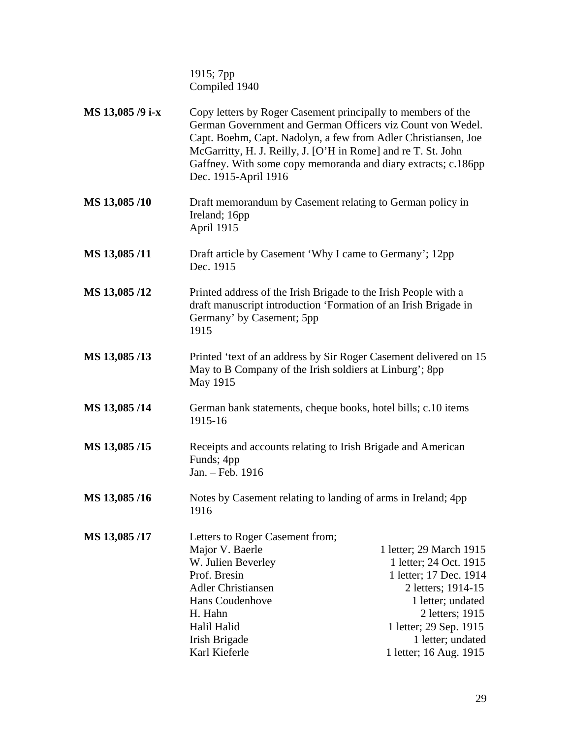1915; 7pp Compiled 1940

| MS 13,085 /9 i-x | Copy letters by Roger Casement principally to members of the<br>German Government and German Officers viz Count von Wedel.<br>Capt. Boehm, Capt. Nadolyn, a few from Adler Christiansen, Joe<br>McGarritty, H. J. Reilly, J. [O'H in Rome] and re T. St. John<br>Gaffney. With some copy memoranda and diary extracts; c.186pp<br>Dec. 1915-April 1916 |                                                                                                                                                                                                                    |
|------------------|--------------------------------------------------------------------------------------------------------------------------------------------------------------------------------------------------------------------------------------------------------------------------------------------------------------------------------------------------------|--------------------------------------------------------------------------------------------------------------------------------------------------------------------------------------------------------------------|
| MS 13,085/10     | Draft memorandum by Casement relating to German policy in<br>Ireland; 16pp<br>April 1915                                                                                                                                                                                                                                                               |                                                                                                                                                                                                                    |
| MS 13,085/11     | Draft article by Casement 'Why I came to Germany'; 12pp<br>Dec. 1915                                                                                                                                                                                                                                                                                   |                                                                                                                                                                                                                    |
| MS 13,085/12     | Printed address of the Irish Brigade to the Irish People with a<br>draft manuscript introduction 'Formation of an Irish Brigade in<br>Germany' by Casement; 5pp<br>1915                                                                                                                                                                                |                                                                                                                                                                                                                    |
| MS 13,085/13     | Printed 'text of an address by Sir Roger Casement delivered on 15<br>May to B Company of the Irish soldiers at Linburg'; 8pp<br>May 1915                                                                                                                                                                                                               |                                                                                                                                                                                                                    |
| MS 13,085/14     | German bank statements, cheque books, hotel bills; c.10 items<br>1915-16                                                                                                                                                                                                                                                                               |                                                                                                                                                                                                                    |
| MS 13,085/15     | Receipts and accounts relating to Irish Brigade and American<br>Funds; 4pp<br>Jan. - Feb. 1916                                                                                                                                                                                                                                                         |                                                                                                                                                                                                                    |
| MS 13,085/16     | Notes by Casement relating to landing of arms in Ireland; 4pp<br>1916                                                                                                                                                                                                                                                                                  |                                                                                                                                                                                                                    |
| MS 13,085/17     | Letters to Roger Casement from;<br>Major V. Baerle<br>W. Julien Beverley<br>Prof. Bresin<br><b>Adler Christiansen</b><br>Hans Coudenhove<br>H. Hahn<br>Halil Halid<br>Irish Brigade<br>Karl Kieferle                                                                                                                                                   | 1 letter; 29 March 1915<br>1 letter; 24 Oct. 1915<br>1 letter; 17 Dec. 1914<br>2 letters; 1914-15<br>1 letter; undated<br>2 letters; 1915<br>1 letter; 29 Sep. 1915<br>1 letter; undated<br>1 letter; 16 Aug. 1915 |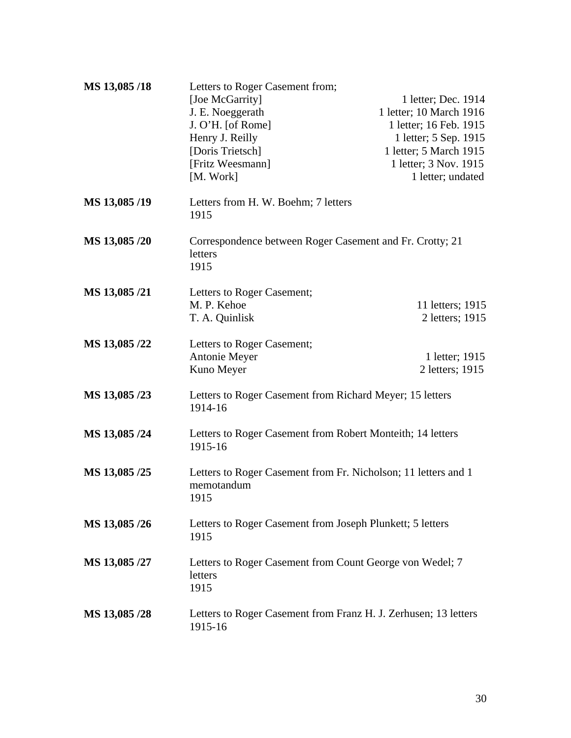| MS 13,085/18  | Letters to Roger Casement from;<br>[Joe McGarrity]<br>J. E. Noeggerath               | 1 letter; Dec. 1914<br>1 letter; 10 March 1916 |
|---------------|--------------------------------------------------------------------------------------|------------------------------------------------|
|               | $J. O'H.$ [of Rome]                                                                  | 1 letter; 16 Feb. 1915                         |
|               | Henry J. Reilly                                                                      | 1 letter; 5 Sep. 1915                          |
|               | [Doris Trietsch]                                                                     | 1 letter; 5 March 1915                         |
|               | [Fritz Weesmann]                                                                     | 1 letter; 3 Nov. 1915                          |
|               | [M. Work]                                                                            | 1 letter; undated                              |
| MS 13,085/19  | Letters from H. W. Boehm; 7 letters<br>1915                                          |                                                |
| MS 13,085 /20 | Correspondence between Roger Casement and Fr. Crotty; 21<br>letters<br>1915          |                                                |
| MS 13,085 /21 | Letters to Roger Casement;                                                           |                                                |
|               | M. P. Kehoe                                                                          | 11 letters; 1915                               |
|               | T. A. Quinlisk                                                                       | 2 letters; 1915                                |
| MS 13,085 /22 | Letters to Roger Casement;                                                           |                                                |
|               | Antonie Meyer                                                                        | 1 letter; 1915                                 |
|               | Kuno Meyer                                                                           | 2 letters; 1915                                |
| MS 13,085 /23 | Letters to Roger Casement from Richard Meyer; 15 letters<br>1914-16                  |                                                |
| MS 13,085 /24 | Letters to Roger Casement from Robert Monteith; 14 letters<br>1915-16                |                                                |
| MS 13,085 /25 | Letters to Roger Casement from Fr. Nicholson; 11 letters and 1<br>memotandum<br>1915 |                                                |
| MS 13,085 /26 | Letters to Roger Casement from Joseph Plunkett; 5 letters<br>1915                    |                                                |
| MS 13,085 /27 | Letters to Roger Casement from Count George von Wedel; 7<br>letters<br>1915          |                                                |
| MS 13,085 /28 | Letters to Roger Casement from Franz H. J. Zerhusen; 13 letters<br>1915-16           |                                                |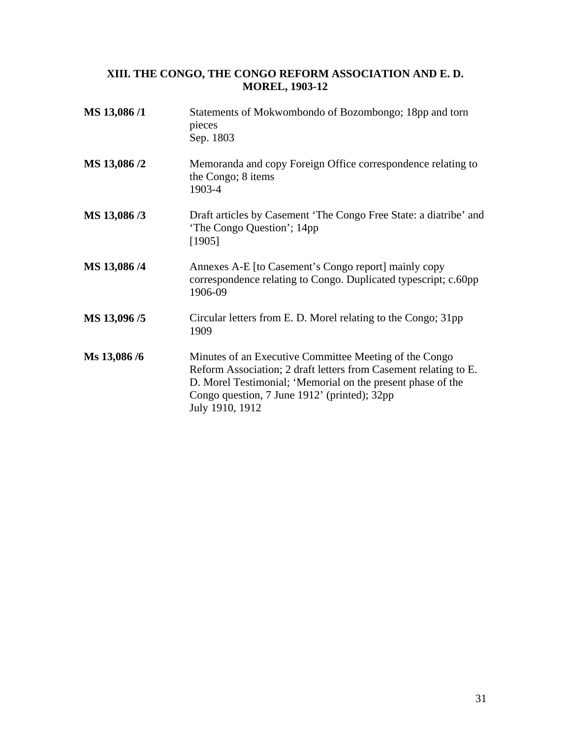#### <span id="page-30-0"></span>**XIII. THE CONGO, THE CONGO REFORM ASSOCIATION AND E. D. MOREL, 1903-12**

| MS 13,086/1  | Statements of Mokwombondo of Bozombongo; 18pp and torn<br>pieces<br>Sep. 1803                                                                                                                                                                                |
|--------------|--------------------------------------------------------------------------------------------------------------------------------------------------------------------------------------------------------------------------------------------------------------|
| MS 13,086 /2 | Memoranda and copy Foreign Office correspondence relating to<br>the Congo; 8 items<br>1903-4                                                                                                                                                                 |
| MS 13,086/3  | Draft articles by Casement 'The Congo Free State: a diatribe' and<br>'The Congo Question'; 14pp<br>[1905]                                                                                                                                                    |
| MS 13,086 /4 | Annexes A-E [to Casement's Congo report] mainly copy<br>correspondence relating to Congo. Duplicated typescript; c.60pp<br>1906-09                                                                                                                           |
| MS 13,096/5  | Circular letters from E. D. Morel relating to the Congo; 31pp<br>1909                                                                                                                                                                                        |
| Ms 13,086 /6 | Minutes of an Executive Committee Meeting of the Congo<br>Reform Association; 2 draft letters from Casement relating to E.<br>D. Morel Testimonial; 'Memorial on the present phase of the<br>Congo question, 7 June 1912' (printed); 32pp<br>July 1910, 1912 |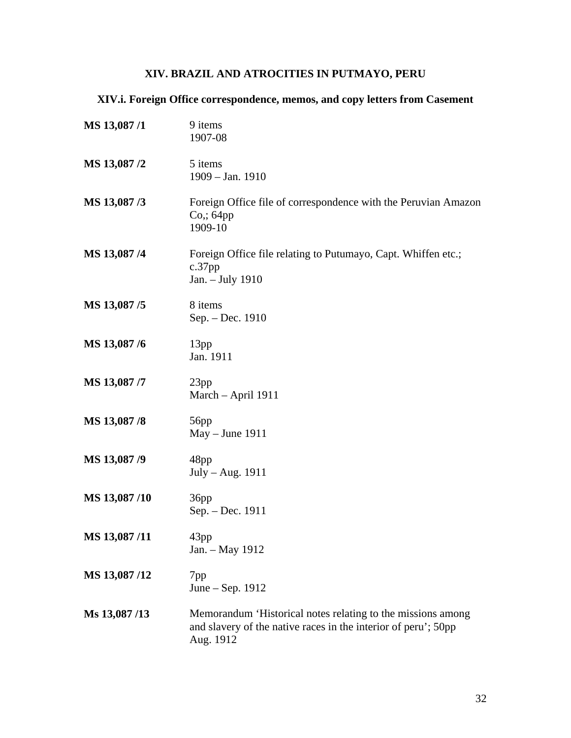## **XIV. BRAZIL AND ATROCITIES IN PUTMAYO, PERU**

## <span id="page-31-0"></span>**XIV.i. Foreign Office correspondence, memos, and copy letters from Casement**

| MS 13,087/1  | 9 items<br>1907-08                                                                                                                         |
|--------------|--------------------------------------------------------------------------------------------------------------------------------------------|
| MS 13,087/2  | 5 items<br>$1909 - Jan. 1910$                                                                                                              |
| MS 13,087/3  | Foreign Office file of correspondence with the Peruvian Amazon<br>$Co$ ; 64pp<br>1909-10                                                   |
| MS 13,087/4  | Foreign Office file relating to Putumayo, Capt. Whiffen etc.;<br>$c.37$ pp<br>Jan. - July 1910                                             |
| MS 13,087/5  | 8 items<br>Sep. - Dec. 1910                                                                                                                |
| MS 13,087/6  | 13pp<br>Jan. 1911                                                                                                                          |
| MS 13,087 /7 | 23pp<br>March - April 1911                                                                                                                 |
| MS 13,087/8  | 56pp<br>$May - June 1911$                                                                                                                  |
| MS 13,087 /9 | 48pp<br>July – Aug. 1911                                                                                                                   |
| MS 13,087/10 | 36pp<br>Sep. - Dec. 1911                                                                                                                   |
| MS 13,087/11 | 43pp<br>Jan. - May 1912                                                                                                                    |
| MS 13,087/12 | 7pp<br>June – Sep. 1912                                                                                                                    |
| Ms 13,087/13 | Memorandum 'Historical notes relating to the missions among<br>and slavery of the native races in the interior of peru'; 50pp<br>Aug. 1912 |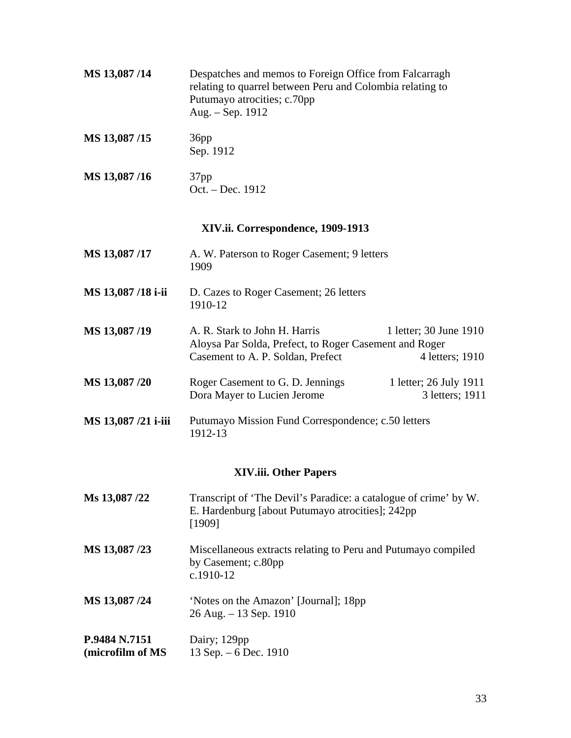<span id="page-32-0"></span>

| MS 13,087/14        | Despatches and memos to Foreign Office from Falcarragh<br>relating to quarrel between Peru and Colombia relating to<br>Putumayo atrocities; c.70pp<br>Aug. - Sep. 1912    |
|---------------------|---------------------------------------------------------------------------------------------------------------------------------------------------------------------------|
| MS 13,087/15        | 36pp<br>Sep. 1912                                                                                                                                                         |
| MS 13,087/16        | 37 <sub>pp</sub><br>Oct. - Dec. 1912                                                                                                                                      |
|                     | XIV.ii. Correspondence, 1909-1913                                                                                                                                         |
| MS 13,087/17        | A. W. Paterson to Roger Casement; 9 letters<br>1909                                                                                                                       |
| MS 13,087 /18 i-ii  | D. Cazes to Roger Casement; 26 letters<br>1910-12                                                                                                                         |
| MS 13,087/19        | A. R. Stark to John H. Harris<br>1 letter; 30 June 1910<br>Aloysa Par Solda, Prefect, to Roger Casement and Roger<br>Casement to A. P. Soldan, Prefect<br>4 letters; 1910 |
| MS 13,087 /20       | Roger Casement to G. D. Jennings<br>1 letter; 26 July 1911<br>Dora Mayer to Lucien Jerome<br>3 letters; 1911                                                              |
| MS 13,087 /21 i-iii | Putumayo Mission Fund Correspondence; c.50 letters<br>1912-13                                                                                                             |
|                     | <b>XIV.iii. Other Papers</b>                                                                                                                                              |
| Ms 13,087 /22       | Transcript of 'The Devil's Paradice: a catalogue of crime' by W.<br>E. Hardenburg [about Putumayo atrocities]; 242pp<br>[1909]                                            |
| MS 13,087 /23       | Miscellaneous extracts relating to Peru and Putumayo compiled<br>by Casement; c.80pp<br>c.1910-12                                                                         |
| MS 13,087 /24       | 'Notes on the Amazon' [Journal]; 18pp<br>26 Aug. - 13 Sep. 1910                                                                                                           |
| P.9484 N.7151       | Dairy; 129pp                                                                                                                                                              |

**(microfilm of MS**  13 Sep. – 6 Dec. 1910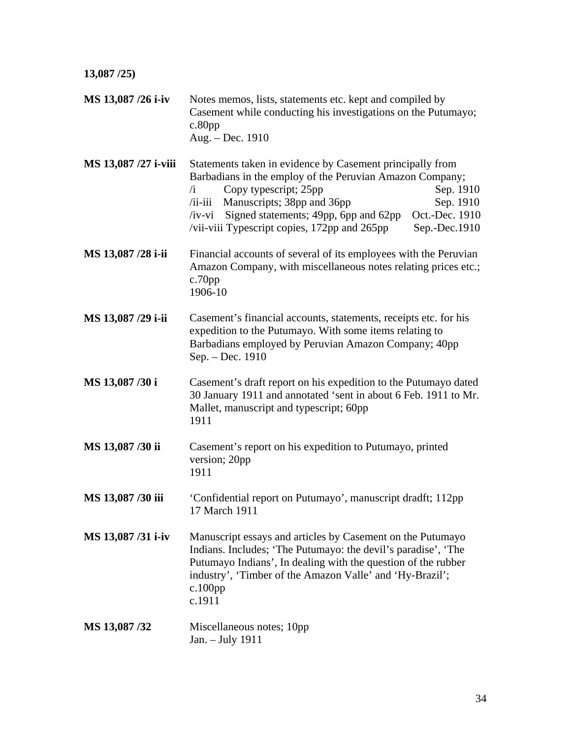| 13,087/25            |                                                                                                                                                                                                                                                                                                                                                                           |  |
|----------------------|---------------------------------------------------------------------------------------------------------------------------------------------------------------------------------------------------------------------------------------------------------------------------------------------------------------------------------------------------------------------------|--|
| MS 13,087 /26 i-iv   | Notes memos, lists, statements etc. kept and compiled by<br>Casement while conducting his investigations on the Putumayo;<br>$c.80$ pp<br>Aug. - Dec. 1910                                                                                                                                                                                                                |  |
| MS 13,087 /27 i-viii | Statements taken in evidence by Casement principally from<br>Barbadians in the employ of the Peruvian Amazon Company;<br>Sep. 1910<br>Copy typescript; 25pp<br>$\overline{1}$<br>Manuscripts; 38pp and 36pp<br>Sep. 1910<br>$/i$ i-iii<br>/iv-vi Signed statements; 49pp, 6pp and 62pp<br>Oct.-Dec. 1910<br>/vii-viii Typescript copies, 172pp and 265pp<br>Sep.-Dec.1910 |  |
| MS 13,087 /28 i-ii   | Financial accounts of several of its employees with the Peruvian<br>Amazon Company, with miscellaneous notes relating prices etc.;<br>$c.70$ pp<br>1906-10                                                                                                                                                                                                                |  |
| MS 13,087 /29 i-ii   | Casement's financial accounts, statements, receipts etc. for his<br>expedition to the Putumayo. With some items relating to<br>Barbadians employed by Peruvian Amazon Company; 40pp<br>Sep. - Dec. 1910                                                                                                                                                                   |  |
| MS 13,087/30 i       | Casement's draft report on his expedition to the Putumayo dated<br>30 January 1911 and annotated 'sent in about 6 Feb. 1911 to Mr.<br>Mallet, manuscript and typescript; 60pp<br>1911                                                                                                                                                                                     |  |
| MS 13,087 /30 ii     | Casement's report on his expedition to Putumayo, printed<br>version; 20pp<br>1911                                                                                                                                                                                                                                                                                         |  |
| MS 13,087/30 iii     | 'Confidential report on Putumayo', manuscript dradft; 112pp<br>17 March 1911                                                                                                                                                                                                                                                                                              |  |
| MS 13,087/31 i-iv    | Manuscript essays and articles by Casement on the Putumayo<br>Indians. Includes; 'The Putumayo: the devil's paradise', 'The<br>Putumayo Indians', In dealing with the question of the rubber<br>industry', 'Timber of the Amazon Valle' and 'Hy-Brazil';<br>$c.100$ pp<br>c.1911                                                                                          |  |
| MS 13,087 /32        | Miscellaneous notes; 10pp<br>Jan. - July 1911                                                                                                                                                                                                                                                                                                                             |  |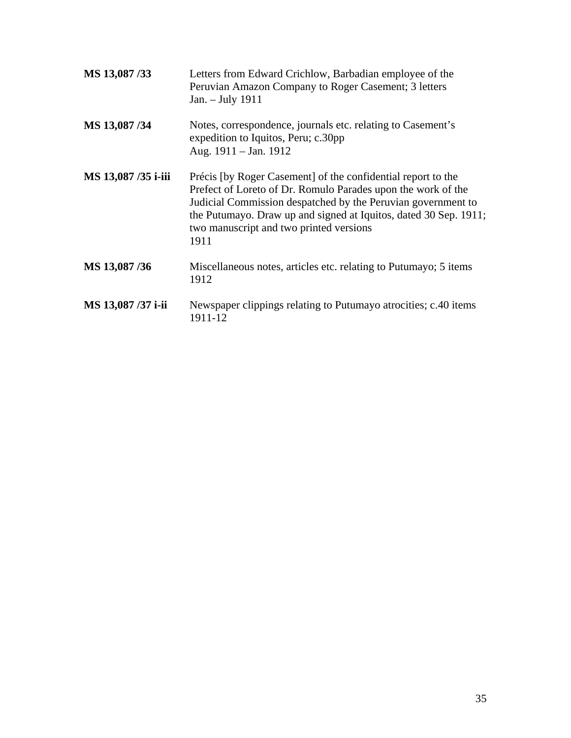| MS 13,087/33        | Letters from Edward Crichlow, Barbadian employee of the<br>Peruvian Amazon Company to Roger Casement; 3 letters<br>Jan. - July 1911                                                                                                                                                                                 |
|---------------------|---------------------------------------------------------------------------------------------------------------------------------------------------------------------------------------------------------------------------------------------------------------------------------------------------------------------|
| MS 13,087/34        | Notes, correspondence, journals etc. relating to Casement's<br>expedition to Iquitos, Peru; c.30pp<br>Aug. 1911 - Jan. 1912                                                                                                                                                                                         |
| MS 13,087 /35 i-iii | Précis [by Roger Casement] of the confidential report to the<br>Prefect of Loreto of Dr. Romulo Parades upon the work of the<br>Judicial Commission despatched by the Peruvian government to<br>the Putumayo. Draw up and signed at Iquitos, dated 30 Sep. 1911;<br>two manuscript and two printed versions<br>1911 |
| MS 13,087/36        | Miscellaneous notes, articles etc. relating to Putumayo; 5 items<br>1912                                                                                                                                                                                                                                            |
| MS 13,087 /37 i-ii  | Newspaper clippings relating to Putumayo atrocities; c.40 items<br>1911-12                                                                                                                                                                                                                                          |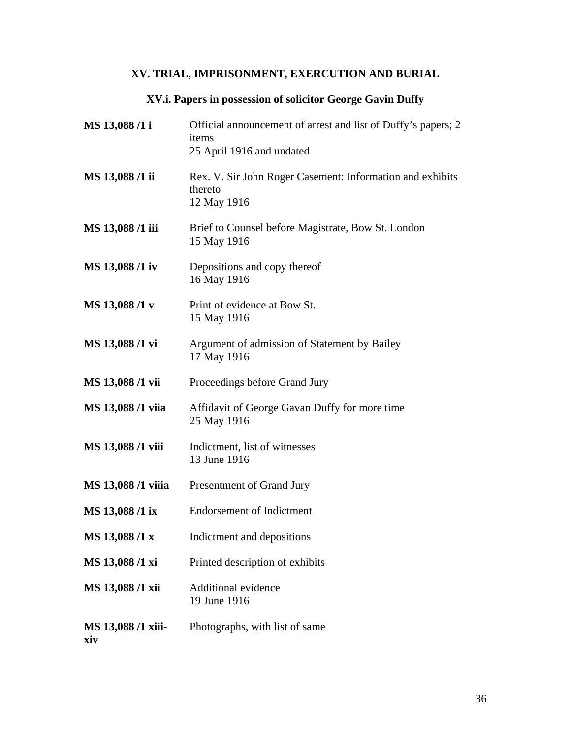## **XV. TRIAL, IMPRISONMENT, EXERCUTION AND BURIAL**

## **XV.i. Papers in possession of solicitor George Gavin Duffy**

<span id="page-35-0"></span>

| MS 13,088 /1 i            | Official announcement of arrest and list of Duffy's papers; 2<br>items<br>25 April 1916 and undated |
|---------------------------|-----------------------------------------------------------------------------------------------------|
| MS 13,088 /1 ii           | Rex. V. Sir John Roger Casement: Information and exhibits<br>thereto<br>12 May 1916                 |
| MS 13,088 /1 iii          | Brief to Counsel before Magistrate, Bow St. London<br>15 May 1916                                   |
| MS 13,088 /1 iv           | Depositions and copy thereof<br>16 May 1916                                                         |
| MS 13,088 /1 v            | Print of evidence at Bow St.<br>15 May 1916                                                         |
| MS 13,088 /1 vi           | Argument of admission of Statement by Bailey<br>17 May 1916                                         |
| MS 13,088 /1 vii          | Proceedings before Grand Jury                                                                       |
| MS 13,088 /1 viia         | Affidavit of George Gavan Duffy for more time<br>25 May 1916                                        |
| MS 13,088 /1 viii         | Indictment, list of witnesses<br>13 June 1916                                                       |
| MS 13,088 /1 viiia        | Presentment of Grand Jury                                                                           |
| MS 13,088 /1 ix           | <b>Endorsement of Indictment</b>                                                                    |
| MS 13,088 /1 x            | Indictment and depositions                                                                          |
| MS 13,088 /1 xi           | Printed description of exhibits                                                                     |
| MS 13,088 /1 xii          | Additional evidence<br>19 June 1916                                                                 |
| MS 13,088 /1 xiii-<br>xiv | Photographs, with list of same                                                                      |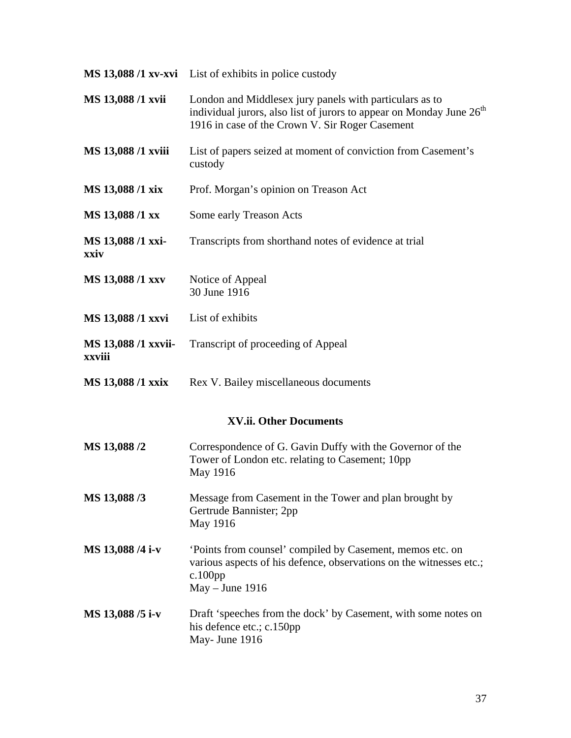<span id="page-36-0"></span>

|                               | MS 13,088 /1 xv-xvi List of exhibits in police custody                                                                                                                                         |
|-------------------------------|------------------------------------------------------------------------------------------------------------------------------------------------------------------------------------------------|
| MS 13,088 /1 xvii             | London and Middlesex jury panels with particulars as to<br>individual jurors, also list of jurors to appear on Monday June 26 <sup>th</sup><br>1916 in case of the Crown V. Sir Roger Casement |
| MS 13,088 /1 xviii            | List of papers seized at moment of conviction from Casement's<br>custody                                                                                                                       |
| MS 13,088 /1 xix              | Prof. Morgan's opinion on Treason Act                                                                                                                                                          |
| MS 13,088 /1 xx               | Some early Treason Acts                                                                                                                                                                        |
| MS 13,088 /1 xxi-<br>xxiv     | Transcripts from shorthand notes of evidence at trial                                                                                                                                          |
| MS 13,088 /1 xxv              | Notice of Appeal<br>30 June 1916                                                                                                                                                               |
| MS 13,088 /1 xxvi             | List of exhibits                                                                                                                                                                               |
| MS 13,088 /1 xxvii-<br>xxviii | Transcript of proceeding of Appeal                                                                                                                                                             |
| MS 13,088 /1 xxix             | Rex V. Bailey miscellaneous documents                                                                                                                                                          |
|                               | XV.ii. Other Documents                                                                                                                                                                         |
| MS 13,088 /2                  | Correspondence of G. Gavin Duffy with the Governor of the<br>Tower of London etc. relating to Casement; 10pp<br>May 1916                                                                       |
| MS 13,088 /3                  | Message from Casement in the Tower and plan brought by<br>Gertrude Bannister; 2pp<br>May 1916                                                                                                  |
| MS 13,088 /4 i-v              | 'Points from counsel' compiled by Casement, memos etc. on<br>various aspects of his defence, observations on the witnesses etc.;<br>$c.100$ pp<br>$May - June 1916$                            |
| MS 13,088 /5 i-v              | Draft 'speeches from the dock' by Casement, with some notes on<br>his defence etc.; c.150pp<br>May- June 1916                                                                                  |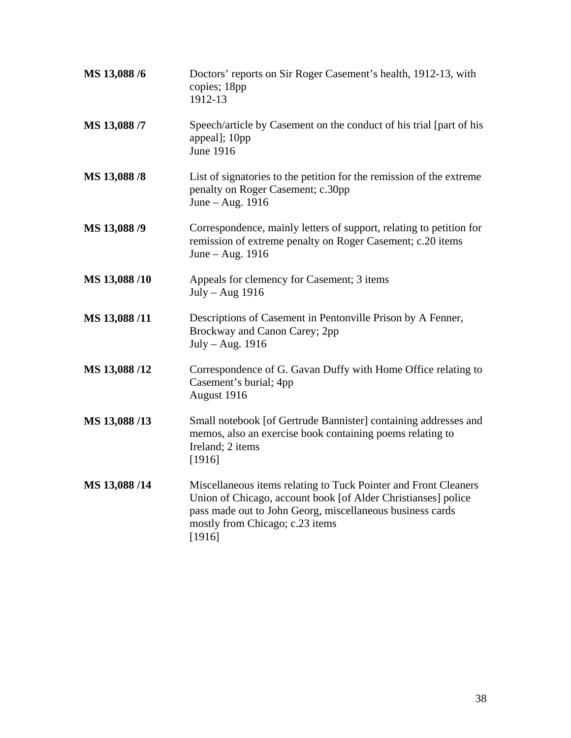| MS 13,088 /6 | Doctors' reports on Sir Roger Casement's health, 1912-13, with<br>copies; 18pp<br>1912-13                                                                                                                                                  |
|--------------|--------------------------------------------------------------------------------------------------------------------------------------------------------------------------------------------------------------------------------------------|
| MS 13,088 /7 | Speech/article by Casement on the conduct of his trial [part of his<br>appeal]; 10pp<br><b>June 1916</b>                                                                                                                                   |
| MS 13,088 /8 | List of signatories to the petition for the remission of the extreme<br>penalty on Roger Casement; c.30pp<br>June - Aug. 1916                                                                                                              |
| MS 13,088 /9 | Correspondence, mainly letters of support, relating to petition for<br>remission of extreme penalty on Roger Casement; c.20 items<br>June - Aug. 1916                                                                                      |
| MS 13,088/10 | Appeals for clemency for Casement; 3 items<br>$July - Aug 1916$                                                                                                                                                                            |
| MS 13,088/11 | Descriptions of Casement in Pentonville Prison by A Fenner,<br>Brockway and Canon Carey; 2pp<br>July - Aug. 1916                                                                                                                           |
| MS 13,088/12 | Correspondence of G. Gavan Duffy with Home Office relating to<br>Casement's burial; 4pp<br>August 1916                                                                                                                                     |
| MS 13,088/13 | Small notebook [of Gertrude Bannister] containing addresses and<br>memos, also an exercise book containing poems relating to<br>Ireland; 2 items<br>[1916]                                                                                 |
| MS 13,088/14 | Miscellaneous items relating to Tuck Pointer and Front Cleaners<br>Union of Chicago, account book [of Alder Christianses] police<br>pass made out to John Georg, miscellaneous business cards<br>mostly from Chicago; c.23 items<br>[1916] |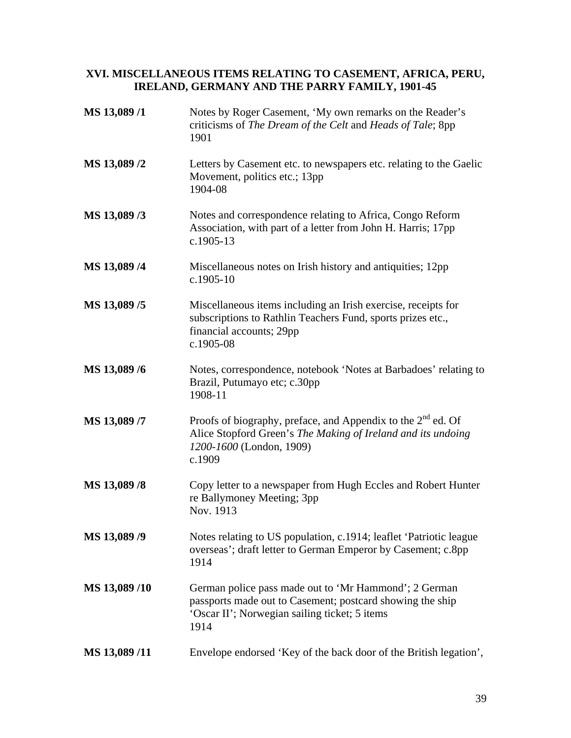#### <span id="page-38-0"></span>**XVI. MISCELLANEOUS ITEMS RELATING TO CASEMENT, AFRICA, PERU, IRELAND, GERMANY AND THE PARRY FAMILY, 1901-45**

| MS 13,089/1  | Notes by Roger Casement, 'My own remarks on the Reader's<br>criticisms of The Dream of the Celt and Heads of Tale; 8pp<br>1901                                              |
|--------------|-----------------------------------------------------------------------------------------------------------------------------------------------------------------------------|
| MS 13,089 /2 | Letters by Casement etc. to newspapers etc. relating to the Gaelic<br>Movement, politics etc.; 13pp<br>1904-08                                                              |
| MS 13,089 /3 | Notes and correspondence relating to Africa, Congo Reform<br>Association, with part of a letter from John H. Harris; 17pp<br>$c.1905-13$                                    |
| MS 13,089 /4 | Miscellaneous notes on Irish history and antiquities; 12pp<br>$c.1905-10$                                                                                                   |
| MS 13,089 /5 | Miscellaneous items including an Irish exercise, receipts for<br>subscriptions to Rathlin Teachers Fund, sports prizes etc.,<br>financial accounts; 29pp<br>c.1905-08       |
| MS 13,089 /6 | Notes, correspondence, notebook 'Notes at Barbadoes' relating to<br>Brazil, Putumayo etc; c.30pp<br>1908-11                                                                 |
| MS 13,089 /7 | Proofs of biography, preface, and Appendix to the $2nd$ ed. Of<br>Alice Stopford Green's The Making of Ireland and its undoing<br>1200-1600 (London, 1909)<br>c.1909        |
| MS 13,089 /8 | Copy letter to a newspaper from Hugh Eccles and Robert Hunter<br>re Ballymoney Meeting; 3pp<br>Nov. 1913                                                                    |
| MS 13,089 /9 | Notes relating to US population, c.1914; leaflet 'Patriotic league<br>overseas'; draft letter to German Emperor by Casement; c.8pp<br>1914                                  |
| MS 13,089/10 | German police pass made out to 'Mr Hammond'; 2 German<br>passports made out to Casement; postcard showing the ship<br>'Oscar II'; Norwegian sailing ticket; 5 items<br>1914 |
| MS 13,089/11 | Envelope endorsed 'Key of the back door of the British legation',                                                                                                           |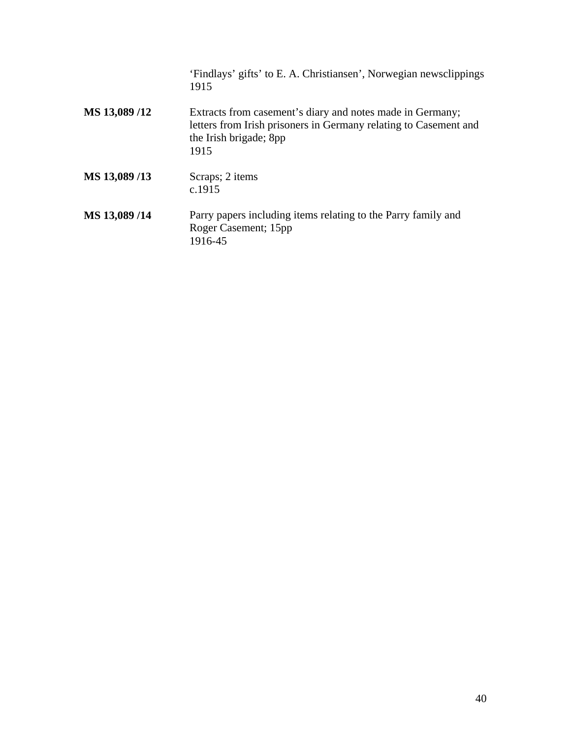|              | 'Findlays' gifts' to E. A. Christiansen', Norwegian newsclippings<br>1915                                                                                       |
|--------------|-----------------------------------------------------------------------------------------------------------------------------------------------------------------|
| MS 13,089/12 | Extracts from casement's diary and notes made in Germany;<br>letters from Irish prisoners in Germany relating to Casement and<br>the Irish brigade; 8pp<br>1915 |
| MS 13,089/13 | Scraps; 2 items<br>c.1915                                                                                                                                       |
| MS 13,089/14 | Parry papers including items relating to the Parry family and<br>Roger Casement; 15pp<br>1916-45                                                                |